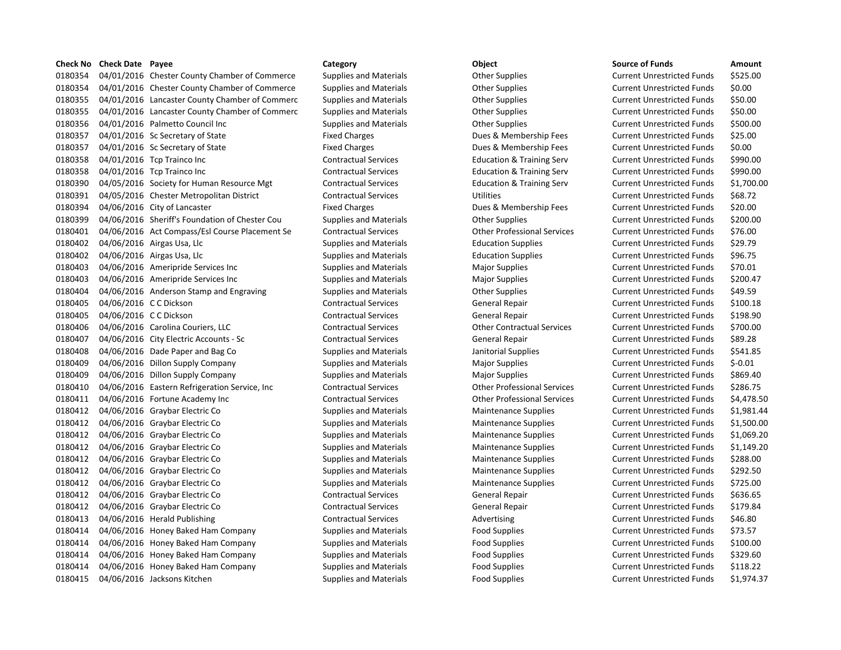# 0180354 04/01/2016 Chester County Chamber of Commerce Supplies and Materials Current Unrestricted Funds \$525.00 0180354 04/01/2016 Chester County Chamber of Commerce Supplies and Materials Other Supplies Current Unrestricted Funds \$0.00 0180355 04/01/2016 Lancaster County Chamber of Commerc Supplies and Materials Collect Supplies Current Unrestricted Funds \$50.00 0180355 04/01/2016 Lancaster County Chamber of Commerc Supplies and Materials Other Supplies Current Unrestricted Funds \$50.00 0180356 04/01/2016 Palmetto Council Inc Supplies and Materials Other Supplies Current Unrestricted Funds \$500.00 0180357 04/01/2016 Sc Secretary of State Fixed Charges Fixed Charges Dues & Membership Fees Current Unrestricted Funds \$25.00 0180357 04/01/2016 Sc Secretary of State Fixed Charges Fixed Charges Dues & Membership Fees Current Unrestricted Funds \$0.00 0180358 04/01/2016 Tcp Trainco Inc Contractual Services Education & Training Serv Current Unrestricted Funds \$990.00 0180358 04/01/2016 Tcp Trainco Inc Contractual Services Education & Training Serv Current Unrestricted Funds \$990.00 0180390 04/05/2016 Society for Human Resource Mgt Contractual Services Education & Training Serv Current Unrestricted Funds \$1,700.00 0180391 04/05/2016 Chester Metropolitan District Contractual Services Utilities Current Unrestricted Funds \$68.72 0180394 04/06/2016 City of Lancaster The Fixed Charges Fixed Charges Dues & Membership Fees Current Unrestricted Funds \$20.00 0180399 04/06/2016 Sheriff's Foundation of Chester Cou Supplies and Materials Other Supplies Current Unrestricted Funds \$200.00 0180401 04/06/2016 Act Compass/Esl Course Placement Se Contractual Services Other Professional Services Current Unrestricted Funds \$76.00 0180402 04/06/2016 Airgas Usa, Llc Supplies and Materials Education Supplies Current Unrestricted Funds \$29.79 0180402 04/06/2016 Airgas Usa, Llc Supplies and Materials Education Supplies Current Unrestricted Funds \$96.75 0180403 04/06/2016 Ameripride Services Inc Supplies and Materials Major Supplies Magior Supplies Current Unrestricted Funds \$70.01 0180403 04/06/2016 Ameripride Services Inc Supplies and Materials Major Supplies Magior Supplies Current Unrestricted Funds \$200.47 0180404 04/06/2016 Anderson Stamp and Engraving Supplies and Materials Other Supplies Current Unrestricted Funds \$49.59 0180405 04/06/2016 CC Dickson Contractual Services General Repair Current Unrestricted Funds \$100.18 0180405 04/06/2016 CC Dickson Contractual Services General Repair Current Unrestricted Funds \$198.90 0180406 04/06/2016 Carolina Couriers, LLC Contractual Services Other Contractual Services Current Unrestricted Funds \$700.00 0180407 04/06/2016 City Electric Accounts - Sc Contractual Services General Repair Current Unrestricted Funds \$89.28 0180408 04/06/2016 Dade Paper and Bag Co Supplies and Materials Janitorial Supplies Current Unrestricted Funds \$541.85 0180409 04/06/2016 Dillon Supply Company Supplies and Materials Major Supplies Magior Supplies Current Unrestricted Funds \$-0.01 0180409 04/06/2016 Dillon Supply Company Supplies and Materials Major Supplies Current Unrestricted Funds \$869.40 0180410 04/06/2016 Eastern Refrigeration Service, Inc Contractual Services Other Professional Services Current Unrestricted Funds \$286.75 0180411 04/06/2016 Fortune Academy Inc Contractual Services Other Professional Services Current Unrestricted Funds \$4,478.50 0180412 04/06/2016 Graybar Electric Co Supplies and Materials Maintenance Supplies Current Unrestricted Funds \$1,981.44 0180412 04/06/2016 Graybar Electric Co Supplies and Materials Maintenance Supplies Current Unrestricted Funds \$1,500.00 0180412 04/06/2016 Graybar Electric Co Supplies and Materials Maintenance Supplies Current Unrestricted Funds \$1,069.20 0180412 04/06/2016 Graybar Electric Co Supplies and Materials Maintenance Supplies Current Unrestricted Funds \$1,149.20 0180412 04/06/2016 Graybar Electric Co Supplies and Materials Maintenance Supplies Current Unrestricted Funds \$288.00 0180412 04/06/2016 Graybar Electric Co Supplies and Materials Maintenance Supplies Current Unrestricted Funds \$292.50 0180412 04/06/2016 Graybar Electric Co Supplies and Materials Maintenance Supplies Current Unrestricted Funds \$725.00 0180412 04/06/2016 Graybar Electric Co Contractual Services General Repair Current Unrestricted Funds \$636.65 0180412 04/06/2016 Graybar Electric Co Contractual Services General Repair Current Unrestricted Funds \$179.84 0180413 04/06/2016 Herald Publishing Contractual Services Advertising Current Unrestricted Funds \$46.80 0180414 04/06/2016 Honey Baked Ham Company Supplies and Materials Food Supplies Food Supplies Current Unrestricted Funds \$73.57 0180414 04/06/2016 Honey Baked Ham Company Supplies and Materials Food Supplies Current Unrestricted Funds \$100.00 0180414 04/06/2016 Honey Baked Ham Company Supplies and Materials Food Supplies Current Unrestricted Funds \$329.60 0180414 04/06/2016 Honey Baked Ham Company Supplies and Materials Food Supplies Current Unrestricted Funds \$118.22 0180415 04/06/2016 Jacksons Kitchen Supplies and Materials Food Supplies Food Supplies Current Unrestricted Funds \$1,974.37

**Check No Check Date Payee Category Category Category Category Object Check No Check Date Amount**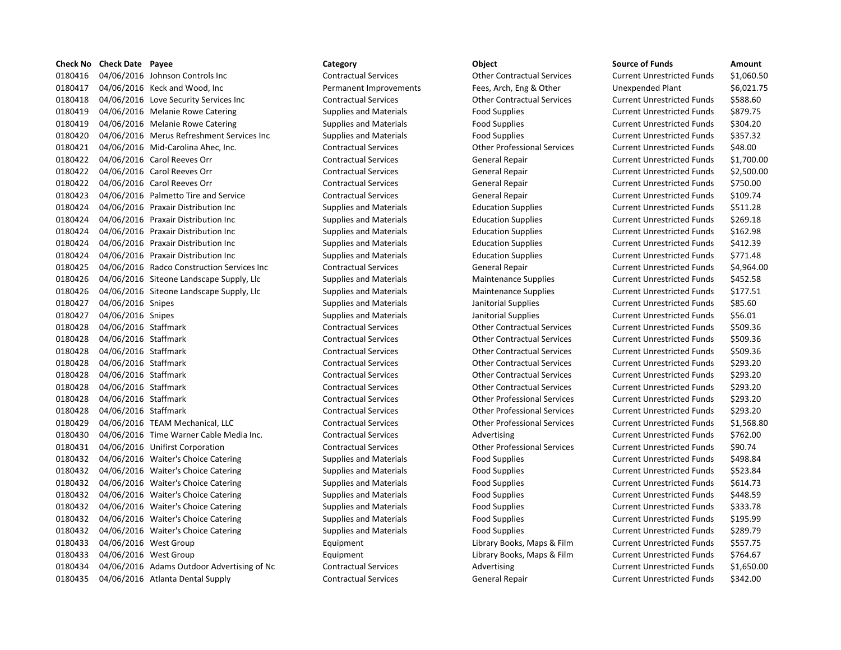| Check No | <b>Check Date Payee</b> |                                            | Category                      | Object                             | <b>Source of Funds</b>            | Amount    |
|----------|-------------------------|--------------------------------------------|-------------------------------|------------------------------------|-----------------------------------|-----------|
| 0180416  |                         | 04/06/2016 Johnson Controls Inc            | <b>Contractual Services</b>   | <b>Other Contractual Services</b>  | <b>Current Unrestricted Funds</b> | \$1,060.5 |
| 0180417  |                         | 04/06/2016 Keck and Wood, Inc.             | Permanent Improvements        | Fees, Arch, Eng & Other            | Unexpended Plant                  | \$6,021.7 |
| 0180418  |                         | 04/06/2016 Love Security Services Inc      | <b>Contractual Services</b>   | <b>Other Contractual Services</b>  | <b>Current Unrestricted Funds</b> | \$588.60  |
| 0180419  |                         | 04/06/2016 Melanie Rowe Catering           | <b>Supplies and Materials</b> | <b>Food Supplies</b>               | <b>Current Unrestricted Funds</b> | \$879.75  |
| 0180419  |                         | 04/06/2016 Melanie Rowe Catering           | <b>Supplies and Materials</b> | Food Supplies                      | <b>Current Unrestricted Funds</b> | \$304.20  |
| 0180420  |                         | 04/06/2016 Merus Refreshment Services Inc  | <b>Supplies and Materials</b> | <b>Food Supplies</b>               | <b>Current Unrestricted Funds</b> | \$357.32  |
| 0180421  |                         | 04/06/2016 Mid-Carolina Ahec, Inc.         | <b>Contractual Services</b>   | <b>Other Professional Services</b> | <b>Current Unrestricted Funds</b> | \$48.00   |
| 0180422  |                         | 04/06/2016 Carol Reeves Orr                | <b>Contractual Services</b>   | General Repair                     | <b>Current Unrestricted Funds</b> | \$1,700.0 |
| 0180422  |                         | 04/06/2016 Carol Reeves Orr                | <b>Contractual Services</b>   | General Repair                     | <b>Current Unrestricted Funds</b> | \$2,500.0 |
| 0180422  |                         | 04/06/2016 Carol Reeves Orr                | <b>Contractual Services</b>   | General Repair                     | <b>Current Unrestricted Funds</b> | \$750.00  |
| 0180423  |                         | 04/06/2016 Palmetto Tire and Service       | <b>Contractual Services</b>   | General Repair                     | <b>Current Unrestricted Funds</b> | \$109.74  |
| 0180424  |                         | 04/06/2016 Praxair Distribution Inc        | <b>Supplies and Materials</b> | <b>Education Supplies</b>          | <b>Current Unrestricted Funds</b> | \$511.28  |
| 0180424  |                         | 04/06/2016 Praxair Distribution Inc        | <b>Supplies and Materials</b> | <b>Education Supplies</b>          | <b>Current Unrestricted Funds</b> | \$269.18  |
| 0180424  |                         | 04/06/2016 Praxair Distribution Inc        | <b>Supplies and Materials</b> | <b>Education Supplies</b>          | <b>Current Unrestricted Funds</b> | \$162.98  |
| 0180424  |                         | 04/06/2016 Praxair Distribution Inc        | <b>Supplies and Materials</b> | <b>Education Supplies</b>          | <b>Current Unrestricted Funds</b> | \$412.39  |
| 0180424  |                         | 04/06/2016 Praxair Distribution Inc        | <b>Supplies and Materials</b> | <b>Education Supplies</b>          | <b>Current Unrestricted Funds</b> | \$771.48  |
| 0180425  |                         | 04/06/2016 Radco Construction Services Inc | <b>Contractual Services</b>   | General Repair                     | <b>Current Unrestricted Funds</b> | \$4,964.0 |
| 0180426  |                         | 04/06/2016 Siteone Landscape Supply, Llc   | <b>Supplies and Materials</b> | <b>Maintenance Supplies</b>        | <b>Current Unrestricted Funds</b> | \$452.58  |
| 0180426  |                         | 04/06/2016 Siteone Landscape Supply, Llc   | <b>Supplies and Materials</b> | <b>Maintenance Supplies</b>        | <b>Current Unrestricted Funds</b> | \$177.51  |
| 0180427  | 04/06/2016 Snipes       |                                            | <b>Supplies and Materials</b> | Janitorial Supplies                | <b>Current Unrestricted Funds</b> | \$85.60   |
| 0180427  | 04/06/2016 Snipes       |                                            | <b>Supplies and Materials</b> | Janitorial Supplies                | <b>Current Unrestricted Funds</b> | \$56.01   |
| 0180428  | 04/06/2016 Staffmark    |                                            | <b>Contractual Services</b>   | <b>Other Contractual Services</b>  | <b>Current Unrestricted Funds</b> | \$509.36  |
| 0180428  | 04/06/2016 Staffmark    |                                            | <b>Contractual Services</b>   | <b>Other Contractual Services</b>  | <b>Current Unrestricted Funds</b> | \$509.36  |
| 0180428  | 04/06/2016 Staffmark    |                                            | <b>Contractual Services</b>   | <b>Other Contractual Services</b>  | <b>Current Unrestricted Funds</b> | \$509.36  |
| 0180428  | 04/06/2016 Staffmark    |                                            | <b>Contractual Services</b>   | <b>Other Contractual Services</b>  | <b>Current Unrestricted Funds</b> | \$293.20  |
| 0180428  | 04/06/2016 Staffmark    |                                            | <b>Contractual Services</b>   | <b>Other Contractual Services</b>  | <b>Current Unrestricted Funds</b> | \$293.20  |
| 0180428  | 04/06/2016 Staffmark    |                                            | <b>Contractual Services</b>   | <b>Other Contractual Services</b>  | <b>Current Unrestricted Funds</b> | \$293.20  |
| 0180428  | 04/06/2016 Staffmark    |                                            | <b>Contractual Services</b>   | <b>Other Professional Services</b> | <b>Current Unrestricted Funds</b> | \$293.20  |
| 0180428  | 04/06/2016 Staffmark    |                                            | <b>Contractual Services</b>   | <b>Other Professional Services</b> | <b>Current Unrestricted Funds</b> | \$293.20  |
| 0180429  |                         | 04/06/2016 TEAM Mechanical, LLC            | <b>Contractual Services</b>   | <b>Other Professional Services</b> | <b>Current Unrestricted Funds</b> | \$1,568.8 |
| 0180430  |                         | 04/06/2016 Time Warner Cable Media Inc.    | <b>Contractual Services</b>   | Advertising                        | <b>Current Unrestricted Funds</b> | \$762.00  |
| 0180431  |                         | 04/06/2016 Unifirst Corporation            | <b>Contractual Services</b>   | <b>Other Professional Services</b> | <b>Current Unrestricted Funds</b> | \$90.74   |
| 0180432  |                         | 04/06/2016 Waiter's Choice Catering        | <b>Supplies and Materials</b> | <b>Food Supplies</b>               | <b>Current Unrestricted Funds</b> | \$498.84  |
| 0180432  |                         | 04/06/2016 Waiter's Choice Catering        | <b>Supplies and Materials</b> | <b>Food Supplies</b>               | <b>Current Unrestricted Funds</b> | \$523.84  |
| 0180432  |                         | 04/06/2016 Waiter's Choice Catering        | <b>Supplies and Materials</b> | <b>Food Supplies</b>               | <b>Current Unrestricted Funds</b> | \$614.73  |
| 0180432  |                         | 04/06/2016 Waiter's Choice Catering        | <b>Supplies and Materials</b> | <b>Food Supplies</b>               | <b>Current Unrestricted Funds</b> | \$448.59  |
| 0180432  |                         | 04/06/2016 Waiter's Choice Catering        | <b>Supplies and Materials</b> | <b>Food Supplies</b>               | <b>Current Unrestricted Funds</b> | \$333.78  |
| 0180432  |                         | 04/06/2016 Waiter's Choice Catering        | <b>Supplies and Materials</b> | Food Supplies                      | <b>Current Unrestricted Funds</b> | \$195.99  |
| 0180432  |                         | 04/06/2016 Waiter's Choice Catering        | <b>Supplies and Materials</b> | <b>Food Supplies</b>               | <b>Current Unrestricted Funds</b> | \$289.79  |
| 0180433  |                         | 04/06/2016 West Group                      | Equipment                     | Library Books, Maps & Film         | <b>Current Unrestricted Funds</b> | \$557.75  |
| 0180433  |                         | 04/06/2016 West Group                      | Equipment                     | Library Books, Maps & Film         | <b>Current Unrestricted Funds</b> | \$764.67  |
| 0180434  |                         | 04/06/2016 Adams Outdoor Advertising of Nc | <b>Contractual Services</b>   | Advertising                        | <b>Current Unrestricted Funds</b> | \$1,650.0 |
| 0180435  |                         | 04/06/2016 Atlanta Dental Supply           | <b>Contractual Services</b>   | <b>General Repair</b>              | <b>Current Unrestricted Funds</b> | \$342.00  |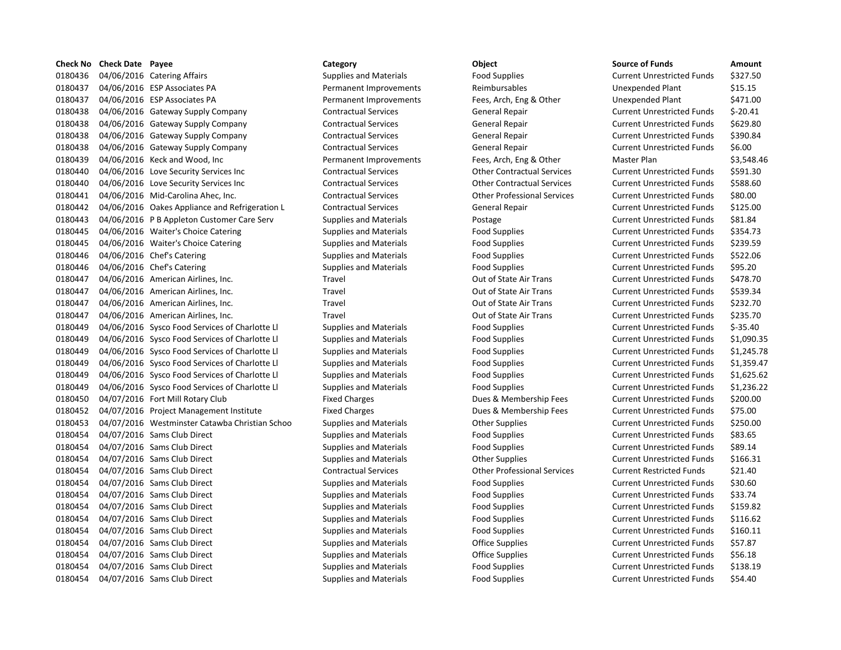| <b>Check No</b> | <b>Check Date Payee</b> |                                                | Category                      | Object                             | <b>Source of Funds</b>            | Amount    |
|-----------------|-------------------------|------------------------------------------------|-------------------------------|------------------------------------|-----------------------------------|-----------|
| 0180436         |                         | 04/06/2016 Catering Affairs                    | <b>Supplies and Materials</b> | <b>Food Supplies</b>               | <b>Current Unrestricted Funds</b> | \$327.50  |
| 0180437         |                         | 04/06/2016 ESP Associates PA                   | Permanent Improvements        | Reimbursables                      | Unexpended Plant                  | \$15.15   |
| 0180437         |                         | 04/06/2016 ESP Associates PA                   | Permanent Improvements        | Fees, Arch, Eng & Other            | <b>Unexpended Plant</b>           | \$471.00  |
| 0180438         |                         | 04/06/2016 Gateway Supply Company              | <b>Contractual Services</b>   | <b>General Repair</b>              | <b>Current Unrestricted Funds</b> | \$-20.41  |
| 0180438         |                         | 04/06/2016 Gateway Supply Company              | <b>Contractual Services</b>   | <b>General Repair</b>              | <b>Current Unrestricted Funds</b> | \$629.80  |
| 0180438         |                         | 04/06/2016 Gateway Supply Company              | <b>Contractual Services</b>   | <b>General Repair</b>              | <b>Current Unrestricted Funds</b> | \$390.84  |
| 0180438         |                         | 04/06/2016 Gateway Supply Company              | <b>Contractual Services</b>   | General Repair                     | <b>Current Unrestricted Funds</b> | \$6.00    |
| 0180439         |                         | 04/06/2016 Keck and Wood, Inc                  | Permanent Improvements        | Fees, Arch, Eng & Other            | Master Plan                       | \$3,548.4 |
| 0180440         |                         | 04/06/2016 Love Security Services Inc          | <b>Contractual Services</b>   | <b>Other Contractual Services</b>  | <b>Current Unrestricted Funds</b> | \$591.30  |
| 0180440         |                         | 04/06/2016 Love Security Services Inc          | <b>Contractual Services</b>   | <b>Other Contractual Services</b>  | <b>Current Unrestricted Funds</b> | \$588.60  |
| 0180441         |                         | 04/06/2016 Mid-Carolina Ahec, Inc.             | <b>Contractual Services</b>   | <b>Other Professional Services</b> | <b>Current Unrestricted Funds</b> | \$80.00   |
| 0180442         |                         | 04/06/2016 Oakes Appliance and Refrigeration L | <b>Contractual Services</b>   | General Repair                     | <b>Current Unrestricted Funds</b> | \$125.00  |
| 0180443         |                         | 04/06/2016 P B Appleton Customer Care Serv     | <b>Supplies and Materials</b> | Postage                            | <b>Current Unrestricted Funds</b> | \$81.84   |
| 0180445         |                         | 04/06/2016 Waiter's Choice Catering            | <b>Supplies and Materials</b> | <b>Food Supplies</b>               | <b>Current Unrestricted Funds</b> | \$354.73  |
| 0180445         |                         | 04/06/2016 Waiter's Choice Catering            | <b>Supplies and Materials</b> | <b>Food Supplies</b>               | <b>Current Unrestricted Funds</b> | \$239.59  |
| 0180446         |                         | 04/06/2016 Chef's Catering                     | <b>Supplies and Materials</b> | Food Supplies                      | <b>Current Unrestricted Funds</b> | \$522.06  |
| 0180446         |                         | 04/06/2016 Chef's Catering                     | <b>Supplies and Materials</b> | <b>Food Supplies</b>               | <b>Current Unrestricted Funds</b> | \$95.20   |
| 0180447         |                         | 04/06/2016 American Airlines, Inc.             | Travel                        | Out of State Air Trans             | <b>Current Unrestricted Funds</b> | \$478.70  |
| 0180447         |                         | 04/06/2016 American Airlines, Inc.             | Travel                        | Out of State Air Trans             | <b>Current Unrestricted Funds</b> | \$539.34  |
| 0180447         |                         | 04/06/2016 American Airlines, Inc.             | Travel                        | Out of State Air Trans             | <b>Current Unrestricted Funds</b> | \$232.70  |
| 0180447         |                         | 04/06/2016 American Airlines, Inc.             | Travel                        | Out of State Air Trans             | <b>Current Unrestricted Funds</b> | \$235.70  |
| 0180449         |                         | 04/06/2016 Sysco Food Services of Charlotte Ll | <b>Supplies and Materials</b> | <b>Food Supplies</b>               | <b>Current Unrestricted Funds</b> | \$-35.40  |
| 0180449         |                         | 04/06/2016 Sysco Food Services of Charlotte LI | <b>Supplies and Materials</b> | <b>Food Supplies</b>               | <b>Current Unrestricted Funds</b> | \$1,090.3 |
| 0180449         |                         | 04/06/2016 Sysco Food Services of Charlotte Ll | <b>Supplies and Materials</b> | <b>Food Supplies</b>               | <b>Current Unrestricted Funds</b> | \$1,245.7 |
| 0180449         |                         | 04/06/2016 Sysco Food Services of Charlotte Ll | <b>Supplies and Materials</b> | <b>Food Supplies</b>               | <b>Current Unrestricted Funds</b> | \$1,359.4 |
| 0180449         |                         | 04/06/2016 Sysco Food Services of Charlotte Ll | <b>Supplies and Materials</b> | <b>Food Supplies</b>               | <b>Current Unrestricted Funds</b> | \$1,625.6 |
| 0180449         |                         | 04/06/2016 Sysco Food Services of Charlotte Ll | <b>Supplies and Materials</b> | <b>Food Supplies</b>               | <b>Current Unrestricted Funds</b> | \$1,236.2 |
| 0180450         |                         | 04/07/2016 Fort Mill Rotary Club               | <b>Fixed Charges</b>          | Dues & Membership Fees             | <b>Current Unrestricted Funds</b> | \$200.00  |
| 0180452         |                         | 04/07/2016 Project Management Institute        | <b>Fixed Charges</b>          | Dues & Membership Fees             | <b>Current Unrestricted Funds</b> | \$75.00   |
| 0180453         |                         | 04/07/2016 Westminster Catawba Christian Schoo | <b>Supplies and Materials</b> | <b>Other Supplies</b>              | <b>Current Unrestricted Funds</b> | \$250.00  |
| 0180454         |                         | 04/07/2016 Sams Club Direct                    | <b>Supplies and Materials</b> | <b>Food Supplies</b>               | <b>Current Unrestricted Funds</b> | \$83.65   |
| 0180454         |                         | 04/07/2016 Sams Club Direct                    | <b>Supplies and Materials</b> | <b>Food Supplies</b>               | <b>Current Unrestricted Funds</b> | \$89.14   |
| 0180454         |                         | 04/07/2016 Sams Club Direct                    | <b>Supplies and Materials</b> | <b>Other Supplies</b>              | <b>Current Unrestricted Funds</b> | \$166.31  |
| 0180454         |                         | 04/07/2016 Sams Club Direct                    | <b>Contractual Services</b>   | <b>Other Professional Services</b> | <b>Current Restricted Funds</b>   | \$21.40   |
| 0180454         |                         | 04/07/2016 Sams Club Direct                    | <b>Supplies and Materials</b> | <b>Food Supplies</b>               | <b>Current Unrestricted Funds</b> | \$30.60   |
| 0180454         |                         | 04/07/2016 Sams Club Direct                    | <b>Supplies and Materials</b> | <b>Food Supplies</b>               | <b>Current Unrestricted Funds</b> | \$33.74   |
| 0180454         |                         | 04/07/2016 Sams Club Direct                    | <b>Supplies and Materials</b> | <b>Food Supplies</b>               | <b>Current Unrestricted Funds</b> | \$159.82  |
| 0180454         |                         | 04/07/2016 Sams Club Direct                    | <b>Supplies and Materials</b> | <b>Food Supplies</b>               | <b>Current Unrestricted Funds</b> | \$116.62  |
| 0180454         |                         | 04/07/2016 Sams Club Direct                    | <b>Supplies and Materials</b> | <b>Food Supplies</b>               | <b>Current Unrestricted Funds</b> | \$160.11  |
| 0180454         |                         | 04/07/2016 Sams Club Direct                    | <b>Supplies and Materials</b> | <b>Office Supplies</b>             | <b>Current Unrestricted Funds</b> | \$57.87   |
| 0180454         |                         | 04/07/2016 Sams Club Direct                    | <b>Supplies and Materials</b> | <b>Office Supplies</b>             | <b>Current Unrestricted Funds</b> | \$56.18   |
| 0180454         |                         | 04/07/2016 Sams Club Direct                    | <b>Supplies and Materials</b> | <b>Food Supplies</b>               | <b>Current Unrestricted Funds</b> | \$138.19  |
| 0180454         |                         | 04/07/2016 Sams Club Direct                    | <b>Supplies and Materials</b> | <b>Food Supplies</b>               | <b>Current Unrestricted Funds</b> | \$54.40   |
|                 |                         |                                                |                               |                                    |                                   |           |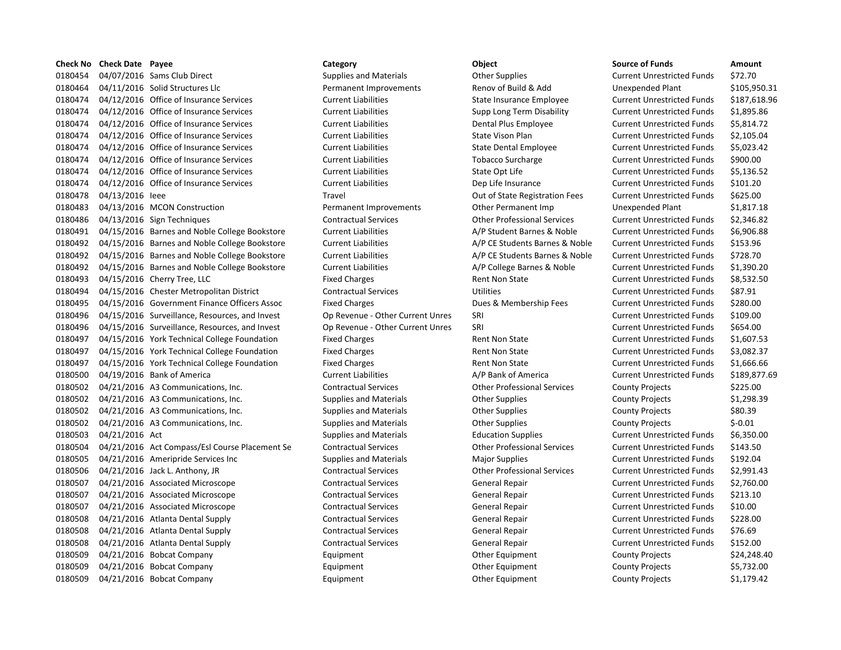### **Check No Check Date Payee Category Category Category Category Object Check No Check Date Amount** 0180454 04/07/2016 Sams Club Direct Supplies and Materials Current Unrestricted Funds States States States Current Unrestricted Funds States States States States States States States States States States States States Stat 0180464 04/11/2016 Solid Structures Llc Permanent Improvements Renov of Build & Add Unexpended Plant \$105,950.31 0180474 04/12/2016 Office of Insurance Services Current Liabilities State Insurance Employee Current Unrestricted Funds 5187.618.96 0180474 04/12/2016 Office of Insurance Services Current Liabilities Supp Long Term Disability Current Unrestricted Funds \$1,895.86 0180474 04/12/2016 Office of Insurance Services Current Liabilities Dental Plus Employee Current Unrestricted Funds \$5,814.72 0180474 04/12/2016 Office of Insurance Services Current Liabilities Current Liabilities Current Vison Plan Current Unrestricted Funds \$2,105.04 0180474 04/12/2016 Office of Insurance Services Current Liabilities State Dental Employee Current Unrestricted Funds \$5,023.42 0180474 04/12/2016 Office of Insurance Services Current Liabilities Current Liabilities Current Dobacco Surcharge Current Unrestricted Funds \$900.00 0180474 04/12/2016 Office of Insurance Services Current Liabilities Current Liabilities Current Liabilities Current Liabilities Current Unrestricted Funds \$5,136.52 0180474 04/12/2016 Office of Insurance Services Current Liabilities Dep Life Insurance Current Unrestricted Funds \$101.20 0180478 04/13/2016 leee Travel Travel Travel Out of State Registration Fees Current Unrestricted Funds \$625.00 0180483 04/13/2016 MCON Construction **Dermanent Improvements** Other Permanent Imp Unexpended Plant \$1,817.18 0180486 04/13/2016 Sign Techniques Contractual Services Contractual Services Current Unrestricted Funds \$2,346.82 0180491 04/15/2016 Barnes and Noble College Bookstore Current Liabilities A/P Student Barnes & Noble Current Unrestricted Funds \$6,906.88 0180492 04/15/2016 Barnes and Noble College Bookstore Current Liabilities A/P CE Students Barnes & Noble Current Unrestricted Funds \$153.96 0180492 04/15/2016 Barnes and Noble College Bookstore Current Liabilities A/P CE Students Barnes & Noble Current Unrestricted Funds \$728.70 0180492 04/15/2016 Barnes and Noble College Bookstore Current Liabilities A/P College Barnes & Noble Current Unrestricted Funds \$1,390.20 0180493 04/15/2016 Cherry Tree, LLC **Fixed Charges** Fixed Charges Rent Non State Current Unrestricted Funds \$8,532.50 0180494 04/15/2016 Chester Metropolitan District Contractual Services Utilities Current Unrestricted Funds \$87.91 0180495 04/15/2016 Government Finance Officers Assoc Fixed Charges Dues & Membership Fees Current Unrestricted Funds \$280.00 0180496 04/15/2016 Surveillance, Resources, and Invest Op Revenue - Other Current Unres SRI Current Unrestricted Funds \$109.00 0180496 04/15/2016 Surveillance, Resources, and Invest Op Revenue - Other Current Unres SRI Current Unrestricted Funds \$654.00 0180497 04/15/2016 York Technical College Foundation Fixed Charges Rent Non State Current Unrestricted Funds \$1,607.53 0180497 04/15/2016 York Technical College Foundation Fixed Charges Rent Non State Current Unrestricted Funds \$3,082.37 0180497 04/15/2016 York Technical College Foundation Fixed Charges Rent Non State Current Unrestricted Funds \$1,666.66 0180500 04/19/2016 Bank of America Current Liabilities A/P Bank of America Current Unrestricted Funds \$189,877.69 0180502 04/21/2016 A3 Communications, Inc. Contractual Services Other Professional Services County Projects \$225.00 0180502 04/21/2016 A3 Communications, Inc. Supplies and Materials County Projects County Projects \$1,298.39 0180502 04/21/2016 A3 Communications, Inc. Supplies and Materials County Projects County Projects 580.39 0180502 04/21/2016 A3 Communications, Inc. Supplies and Materials County Projects County Projects County Projects \$-0.01 0180503 04/21/2016 Act Supplies and Materials Education Supplies Current Unrestricted Funds \$6,350.00 0180504 04/21/2016 Act Compass/Esl Course Placement Se Contractual Services Other Professional Services Current Unrestricted Funds \$143.50 0180505 04/21/2016 Ameripride Services Inc Supplies and Materials Major Supplies Magior Supplies Current Unrestricted Funds \$192.04 0180506 04/21/2016 Jack L. Anthony, JR Contractual Services Other Professional Services Current Unrestricted Funds \$2,991.43 0180507 04/21/2016 Associated Microscope Contractual Services General Repair Current Unrestricted Funds \$2,760.00 0180507 04/21/2016 Associated Microscope Contractual Services General Repair Current Unrestricted Funds \$213.10 0180507 04/21/2016 Associated Microscope Contractual Services General Repair Current Unrestricted Funds \$10.00 0180508 04/21/2016 Atlanta Dental Supply Contractual Services General Repair Current Unrestricted Funds \$228.00 0180508 04/21/2016 Atlanta Dental Supply Contractual Services General Repair Current Unrestricted Funds \$76.69 0180508 04/21/2016 Atlanta Dental Supply Contractual Services General Repair Current Unrestricted Funds \$152.00 0180509 04/21/2016 Bobcat Company **Equipment** Equipment Other Equipment County Projects \$24,248.40 0180509 04/21/2016 Bobcat Company **Equipment** Equipment Other Equipment County Projects \$5,732.00 0180509 04/21/2016 Bobcat Company **Equipment** Equipment Other Equipment County Projects \$1,179.42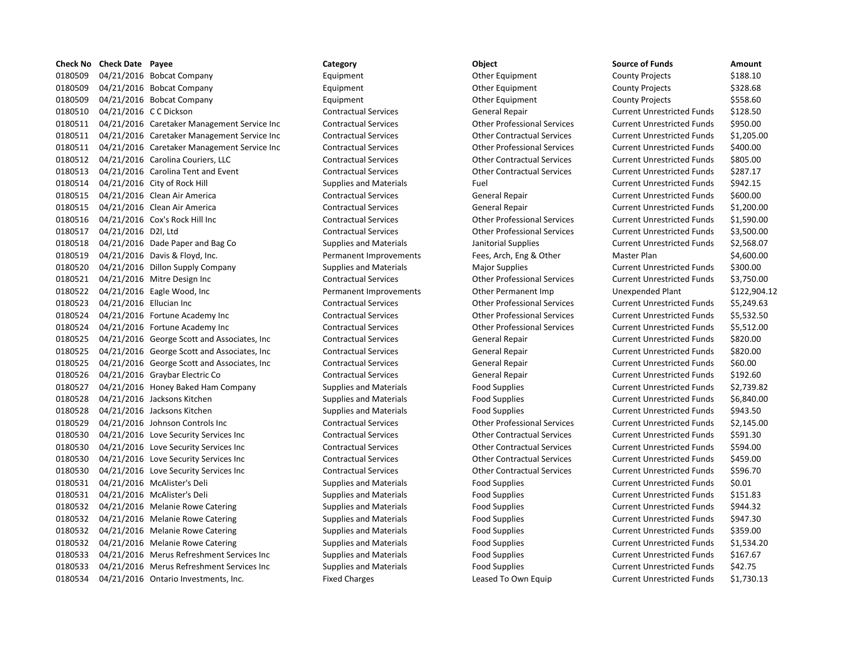| <b>Check No</b> | <b>Check Date</b> Payee |                                              | Category                      | Object                             | <b>Source of Funds</b>            | Amount    |
|-----------------|-------------------------|----------------------------------------------|-------------------------------|------------------------------------|-----------------------------------|-----------|
| 0180509         |                         | 04/21/2016 Bobcat Company                    | Equipment                     | Other Equipment                    | <b>County Projects</b>            | \$188.10  |
| 0180509         |                         | 04/21/2016 Bobcat Company                    | Equipment                     | Other Equipment                    | <b>County Projects</b>            | \$328.68  |
| 0180509         |                         | 04/21/2016 Bobcat Company                    | Equipment                     | Other Equipment                    | <b>County Projects</b>            | \$558.60  |
| 0180510         | 04/21/2016 CC Dickson   |                                              | <b>Contractual Services</b>   | General Repair                     | <b>Current Unrestricted Funds</b> | \$128.50  |
| 0180511         |                         | 04/21/2016 Caretaker Management Service Inc  | <b>Contractual Services</b>   | <b>Other Professional Services</b> | <b>Current Unrestricted Funds</b> | \$950.00  |
| 0180511         |                         | 04/21/2016 Caretaker Management Service Inc  | <b>Contractual Services</b>   | <b>Other Contractual Services</b>  | <b>Current Unrestricted Funds</b> | \$1,205.0 |
| 0180511         |                         | 04/21/2016 Caretaker Management Service Inc  | <b>Contractual Services</b>   | <b>Other Professional Services</b> | <b>Current Unrestricted Funds</b> | \$400.00  |
| 0180512         |                         | 04/21/2016 Carolina Couriers, LLC            | <b>Contractual Services</b>   | <b>Other Contractual Services</b>  | <b>Current Unrestricted Funds</b> | \$805.00  |
| 0180513         |                         | 04/21/2016 Carolina Tent and Event           | <b>Contractual Services</b>   | <b>Other Contractual Services</b>  | <b>Current Unrestricted Funds</b> | \$287.17  |
| 0180514         |                         | 04/21/2016 City of Rock Hill                 | <b>Supplies and Materials</b> | Fuel                               | <b>Current Unrestricted Funds</b> | \$942.15  |
| 0180515         |                         | 04/21/2016 Clean Air America                 | <b>Contractual Services</b>   | General Repair                     | <b>Current Unrestricted Funds</b> | \$600.00  |
| 0180515         |                         | 04/21/2016 Clean Air America                 | <b>Contractual Services</b>   | General Repair                     | <b>Current Unrestricted Funds</b> | \$1,200.0 |
| 0180516         |                         | 04/21/2016 Cox's Rock Hill Inc               | <b>Contractual Services</b>   | <b>Other Professional Services</b> | <b>Current Unrestricted Funds</b> | \$1,590.0 |
| 0180517         | 04/21/2016 D2I, Ltd     |                                              | <b>Contractual Services</b>   | <b>Other Professional Services</b> | <b>Current Unrestricted Funds</b> | \$3,500.0 |
| 0180518         |                         | 04/21/2016 Dade Paper and Bag Co             | <b>Supplies and Materials</b> | Janitorial Supplies                | <b>Current Unrestricted Funds</b> | \$2,568.0 |
| 0180519         |                         | 04/21/2016 Davis & Floyd, Inc.               | Permanent Improvements        | Fees, Arch, Eng & Other            | Master Plan                       | \$4,600.0 |
| 0180520         |                         | 04/21/2016 Dillon Supply Company             | <b>Supplies and Materials</b> | <b>Major Supplies</b>              | <b>Current Unrestricted Funds</b> | \$300.00  |
| 0180521         |                         | 04/21/2016 Mitre Design Inc                  | <b>Contractual Services</b>   | <b>Other Professional Services</b> | <b>Current Unrestricted Funds</b> | \$3,750.0 |
| 0180522         |                         | 04/21/2016 Eagle Wood, Inc                   | Permanent Improvements        | <b>Other Permanent Imp</b>         | Unexpended Plant                  | \$122,90  |
| 0180523         | 04/21/2016 Ellucian Inc |                                              | <b>Contractual Services</b>   | <b>Other Professional Services</b> | <b>Current Unrestricted Funds</b> | \$5,249.6 |
| 0180524         |                         | 04/21/2016 Fortune Academy Inc               | <b>Contractual Services</b>   | <b>Other Professional Services</b> | <b>Current Unrestricted Funds</b> | \$5,532.5 |
| 0180524         |                         | 04/21/2016 Fortune Academy Inc               | <b>Contractual Services</b>   | <b>Other Professional Services</b> | <b>Current Unrestricted Funds</b> | \$5,512.0 |
| 0180525         |                         | 04/21/2016 George Scott and Associates, Inc. | <b>Contractual Services</b>   | General Repair                     | <b>Current Unrestricted Funds</b> | \$820.00  |
| 0180525         |                         | 04/21/2016 George Scott and Associates, Inc. | <b>Contractual Services</b>   | General Repair                     | <b>Current Unrestricted Funds</b> | \$820.00  |
| 0180525         |                         | 04/21/2016 George Scott and Associates, Inc. | <b>Contractual Services</b>   | General Repair                     | <b>Current Unrestricted Funds</b> | \$60.00   |
| 0180526         |                         | 04/21/2016 Graybar Electric Co               | <b>Contractual Services</b>   | General Repair                     | <b>Current Unrestricted Funds</b> | \$192.60  |
| 0180527         |                         | 04/21/2016 Honey Baked Ham Company           | <b>Supplies and Materials</b> | Food Supplies                      | <b>Current Unrestricted Funds</b> | \$2,739.8 |
| 0180528         |                         | 04/21/2016 Jacksons Kitchen                  | <b>Supplies and Materials</b> | <b>Food Supplies</b>               | <b>Current Unrestricted Funds</b> | \$6,840.0 |
| 0180528         |                         | 04/21/2016 Jacksons Kitchen                  | <b>Supplies and Materials</b> | <b>Food Supplies</b>               | <b>Current Unrestricted Funds</b> | \$943.50  |
| 0180529         |                         | 04/21/2016 Johnson Controls Inc              | <b>Contractual Services</b>   | <b>Other Professional Services</b> | <b>Current Unrestricted Funds</b> | \$2,145.0 |
| 0180530         |                         | 04/21/2016 Love Security Services Inc        | <b>Contractual Services</b>   | <b>Other Contractual Services</b>  | <b>Current Unrestricted Funds</b> | \$591.30  |
| 0180530         |                         | 04/21/2016 Love Security Services Inc        | <b>Contractual Services</b>   | <b>Other Contractual Services</b>  | <b>Current Unrestricted Funds</b> | \$594.00  |
| 0180530         |                         | 04/21/2016 Love Security Services Inc        | <b>Contractual Services</b>   | <b>Other Contractual Services</b>  | <b>Current Unrestricted Funds</b> | \$459.00  |
| 0180530         |                         | 04/21/2016 Love Security Services Inc        | <b>Contractual Services</b>   | <b>Other Contractual Services</b>  | <b>Current Unrestricted Funds</b> | \$596.70  |
| 0180531         |                         | 04/21/2016 McAlister's Deli                  | <b>Supplies and Materials</b> | <b>Food Supplies</b>               | <b>Current Unrestricted Funds</b> | \$0.01    |
| 0180531         |                         | 04/21/2016 McAlister's Deli                  | <b>Supplies and Materials</b> | <b>Food Supplies</b>               | <b>Current Unrestricted Funds</b> | \$151.83  |
| 0180532         |                         | 04/21/2016 Melanie Rowe Catering             | <b>Supplies and Materials</b> | <b>Food Supplies</b>               | <b>Current Unrestricted Funds</b> | \$944.32  |
| 0180532         |                         | 04/21/2016 Melanie Rowe Catering             | <b>Supplies and Materials</b> | <b>Food Supplies</b>               | <b>Current Unrestricted Funds</b> | \$947.30  |
| 0180532         |                         | 04/21/2016 Melanie Rowe Catering             | <b>Supplies and Materials</b> | <b>Food Supplies</b>               | <b>Current Unrestricted Funds</b> | \$359.00  |
| 0180532         |                         | 04/21/2016 Melanie Rowe Catering             | <b>Supplies and Materials</b> | <b>Food Supplies</b>               | <b>Current Unrestricted Funds</b> | \$1,534.2 |
| 0180533         |                         | 04/21/2016 Merus Refreshment Services Inc    | <b>Supplies and Materials</b> | <b>Food Supplies</b>               | <b>Current Unrestricted Funds</b> | \$167.67  |
| 0180533         |                         | 04/21/2016 Merus Refreshment Services Inc    | <b>Supplies and Materials</b> | <b>Food Supplies</b>               | <b>Current Unrestricted Funds</b> | \$42.75   |
| 0180534         |                         | 04/21/2016 Ontario Investments, Inc.         | <b>Fixed Charges</b>          | Leased To Own Equip                | <b>Current Unrestricted Funds</b> | \$1,730.1 |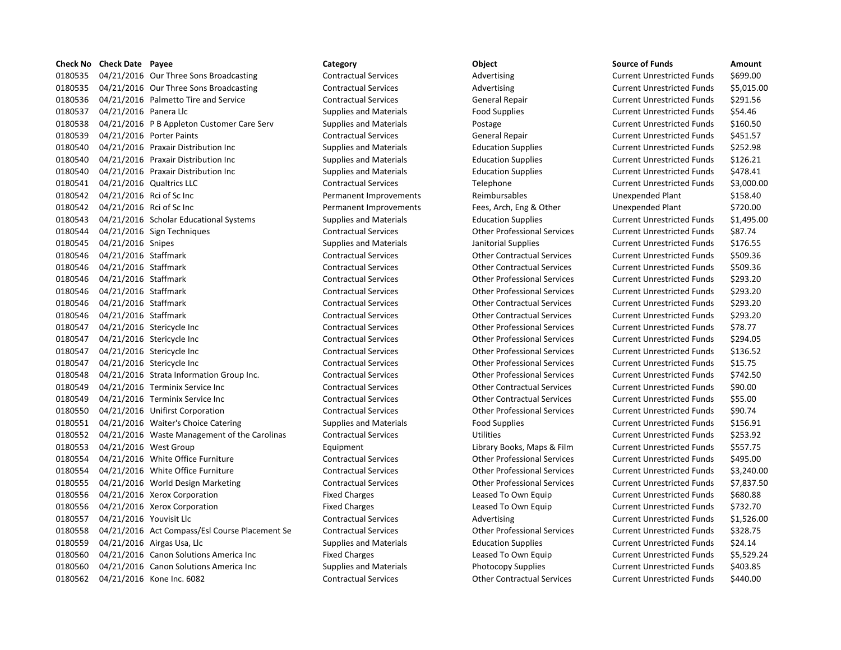**Check No Check Date Payee Category Category Category Category Object Check No Check Date Amount** 0180535 04/21/2016 Our Three Sons Broadcasting Contractual Services Advertising Advertising Current Unrestricted Funds \$699.00 0180535 04/21/2016 Our Three Sons Broadcasting Contractual Services Advertising Current Unrestricted Funds \$5,015.00 0180536 04/21/2016 Palmetto Tire and Service Contractual Services General Repair Current Unrestricted Funds \$291.56 0180537 04/21/2016 Panera Llc Supplies and Materials Food Supplies Food Supplies Current Unrestricted Funds \$54.46 0180538 04/21/2016 P B Appleton Customer Care Serv Supplies and Materials Postage Current Unrestricted Funds \$160.50 0180539 04/21/2016 Porter Paints Contractual Services General Repair Current Unrestricted Funds 5451.57 0180540 04/21/2016 Praxair Distribution Inc Supplies and Materials Education Supplies Current Unrestricted Funds \$252.98 0180540 04/21/2016 Praxair Distribution Inc Supplies and Materials Education Supplies Current Unrestricted Funds \$126.21 0180540 04/21/2016 Praxair Distribution Inc Supplies and Materials Education Supplies Current Unrestricted Funds \$478.41 0180541 04/21/2016 Qualtrics LLC Contractual Services Telephone Current Unrestricted Funds \$3,000.00 0180542 04/21/2016 Rci of Sc Inc Case Control of Permanent Improvements Reimbursables Unexpended Plant \$158.40 0180542 04/21/2016 Rci of Sc Inc Case Control Chernanent Improvements Fees, Arch, Eng & Other Unexpended Plant \$720.00 0180543 04/21/2016 Scholar Educational Systems Supplies and Materials Education Supplies Current Unrestricted Funds \$1,495.00 0180544 04/21/2016 Sign Techniques Contractual Services Other Professional Services Current Unrestricted Funds \$87.74 0180545 04/21/2016 Snipes Supplies and Materials Janitorial Supplies Current Unrestricted Funds \$176.55 0180546 04/21/2016 Staffmark Contractual Services Current Unrestricted Funds 5509.36 Current Unrestricted Funds 0180546 04/21/2016 Staffmark Contractual Services Current Unrestricted Funds \$509.36 0180546 04/21/2016 Staffmark Contractual Services Other Professional Services Current Unrestricted Funds \$293.20 0180546 04/21/2016 Staffmark Contractual Services Other Professional Services Current Unrestricted Funds \$293.20 0180546 04/21/2016 Staffmark Contractual Services Current Unrestricted Funds \$293.20 Contractual Services Current Unrestricted Funds \$293.20 0180546 04/21/2016 Staffmark Contractual Services Current Unrestricted Funds \$293.20 Contractual Services Current Unrestricted Funds \$293.20 0180547 04/21/2016 Stericycle Inc Contractual Services Other Professional Services Current Unrestricted Funds \$78.77 0180547 04/21/2016 Stericycle Inc Contractual Services Other Professional Services Current Unrestricted Funds \$294.05 0180547 04/21/2016 Stericycle Inc Contractual Services Other Professional Services Current Unrestricted Funds \$136.52 0180547 04/21/2016 Stericycle Inc Contractual Services Other Professional Services Current Unrestricted Funds \$15.75 0180548 04/21/2016 Strata Information Group Inc. Contractual Services Other Professional Services Current Unrestricted Funds \$742.50 0180549 04/21/2016 Terminix Service Inc Contractual Services Other Contractual Services Current Unrestricted Funds \$90.00 0180549 04/21/2016 Terminix Service Inc Contractual Services Other Contractual Services Current Unrestricted Funds \$55.00 0180550 04/21/2016 Unifirst Corporation Contractual Services Other Professional Services Current Unrestricted Funds \$90.74 0180551 04/21/2016 Waiter's Choice Catering Supplies and Materials Food Supplies Food Supplies Current Unrestricted Funds \$156.91 0180552 04/21/2016 Waste Management of the Carolinas Contractual Services Utilities Utilities Current Unrestricted Funds \$253.92 0180553 04/21/2016 West Group Current Equipment Equipment Library Books, Maps & Film Current Unrestricted Funds \$557.75 0180554 04/21/2016 White Office Furniture Contractual Services Other Professional Services Current Unrestricted Funds \$495.00 0180554 04/21/2016 White Office Furniture Contractual Services Other Professional Services Current Unrestricted Funds \$3,240.00 0180555 04/21/2016 World Design Marketing Contractual Services Other Professional Services Current Unrestricted Funds \$7,837.50 0180556 04/21/2016 Xerox Corporation The Fixed Charges Fixed Charges Leased To Own Equip Current Unrestricted Funds \$680.88 0180556 04/21/2016 Xerox Corporation **Fixed Charges** Fixed Charges Leased To Own Equip Current Unrestricted Funds \$732.70 0180557 04/21/2016 Youvisit Llc Contractual Services Advertising Current Unrestricted Funds \$1,526.00 0180558 04/21/2016 Act Compass/Esl Course Placement Se Contractual Services Other Professional Services Current Unrestricted Funds \$328.75 0180559 04/21/2016 Airgas Usa, Llc Supplies and Materials Education Supplies Current Unrestricted Funds \$24.14 0180560 04/21/2016 Canon Solutions America Inc Fixed Charges Leased To Own Equip Current Unrestricted Funds \$5,529.24 0180560 04/21/2016 Canon Solutions America Inc Supplies and Materials Photocopy Supplies Current Unrestricted Funds \$403.85 0180562 04/21/2016 Kone Inc. 6082 Contractual Services Other Contractual Services Current Unrestricted Funds \$440.00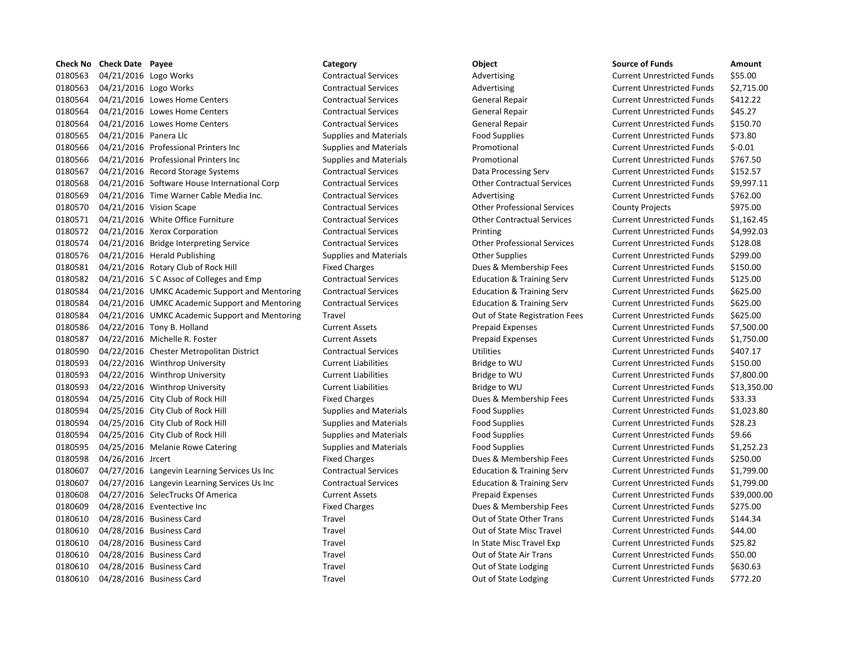| 0180563<br>04/21/2016 Logo Works<br><b>Contractual Services</b><br>Advertising<br><b>Current Unrestricted Funds</b><br>0180563<br>04/21/2016 Logo Works<br><b>Contractual Services</b><br>Advertising<br><b>Current Unrestricted Funds</b><br>0180564<br>04/21/2016 Lowes Home Centers<br><b>Contractual Services</b><br>General Repair<br><b>Current Unrestricted Funds</b><br>0180564<br>04/21/2016 Lowes Home Centers<br><b>Contractual Services</b><br>General Repair<br><b>Current Unrestricted Funds</b><br>0180564<br>04/21/2016 Lowes Home Centers<br><b>Contractual Services</b><br>General Repair<br><b>Current Unrestricted Funds</b><br>0180565<br>04/21/2016 Panera Llc<br><b>Supplies and Materials</b><br><b>Food Supplies</b><br><b>Current Unrestricted Funds</b><br>0180566<br>04/21/2016 Professional Printers Inc<br>Promotional<br><b>Current Unrestricted Funds</b><br><b>Supplies and Materials</b><br>0180566<br>04/21/2016 Professional Printers Inc<br>Promotional<br><b>Supplies and Materials</b><br><b>Current Unrestricted Funds</b><br>0180567<br>04/21/2016 Record Storage Systems<br><b>Contractual Services</b><br>Data Processing Serv<br><b>Current Unrestricted Funds</b><br>0180568<br>04/21/2016 Software House International Corp<br><b>Contractual Services</b><br><b>Other Contractual Services</b><br><b>Current Unrestricted Funds</b><br>0180569<br>04/21/2016 Time Warner Cable Media Inc.<br><b>Current Unrestricted Funds</b><br><b>Contractual Services</b><br>Advertising<br>0180570<br>04/21/2016 Vision Scape<br><b>Other Professional Services</b><br><b>Contractual Services</b><br><b>County Projects</b><br>0180571<br>04/21/2016 White Office Furniture<br><b>Other Contractual Services</b><br><b>Contractual Services</b><br><b>Current Unrestricted Funds</b><br>0180572<br>04/21/2016 Xerox Corporation<br><b>Contractual Services</b><br><b>Current Unrestricted Funds</b><br>Printing<br>0180574<br><b>Other Professional Services</b><br>04/21/2016 Bridge Interpreting Service<br><b>Contractual Services</b><br><b>Current Unrestricted Funds</b><br>0180576<br>04/21/2016 Herald Publishing<br><b>Supplies and Materials</b><br><b>Other Supplies</b><br><b>Current Unrestricted Funds</b><br>0180581<br>04/21/2016 Rotary Club of Rock Hill<br><b>Fixed Charges</b><br>Dues & Membership Fees<br><b>Current Unrestricted Funds</b><br>0180582<br>04/21/2016 S C Assoc of Colleges and Emp<br><b>Education &amp; Training Serv</b><br><b>Current Unrestricted Funds</b><br><b>Contractual Services</b><br>0180584<br>04/21/2016 UMKC Academic Support and Mentoring<br><b>Contractual Services</b><br><b>Education &amp; Training Serv</b><br><b>Current Unrestricted Funds</b><br>0180584<br>04/21/2016 UMKC Academic Support and Mentoring<br><b>Contractual Services</b><br><b>Education &amp; Training Serv</b><br><b>Current Unrestricted Funds</b><br>0180584<br>04/21/2016 UMKC Academic Support and Mentoring<br>Travel<br>Out of State Registration Fees<br><b>Current Unrestricted Funds</b> | \$55.00<br>\$2,715.0<br>\$412.22<br>\$45.27 |
|---------------------------------------------------------------------------------------------------------------------------------------------------------------------------------------------------------------------------------------------------------------------------------------------------------------------------------------------------------------------------------------------------------------------------------------------------------------------------------------------------------------------------------------------------------------------------------------------------------------------------------------------------------------------------------------------------------------------------------------------------------------------------------------------------------------------------------------------------------------------------------------------------------------------------------------------------------------------------------------------------------------------------------------------------------------------------------------------------------------------------------------------------------------------------------------------------------------------------------------------------------------------------------------------------------------------------------------------------------------------------------------------------------------------------------------------------------------------------------------------------------------------------------------------------------------------------------------------------------------------------------------------------------------------------------------------------------------------------------------------------------------------------------------------------------------------------------------------------------------------------------------------------------------------------------------------------------------------------------------------------------------------------------------------------------------------------------------------------------------------------------------------------------------------------------------------------------------------------------------------------------------------------------------------------------------------------------------------------------------------------------------------------------------------------------------------------------------------------------------------------------------------------------------------------------------------------------------------------------------------------------------------------------------------------------------------------------------------------------------------------------------------------------------------------------------------------------------------------------------------------------------------------------------------------------------------------------------------------------------------------------------------------------------------------------------------------|---------------------------------------------|
|                                                                                                                                                                                                                                                                                                                                                                                                                                                                                                                                                                                                                                                                                                                                                                                                                                                                                                                                                                                                                                                                                                                                                                                                                                                                                                                                                                                                                                                                                                                                                                                                                                                                                                                                                                                                                                                                                                                                                                                                                                                                                                                                                                                                                                                                                                                                                                                                                                                                                                                                                                                                                                                                                                                                                                                                                                                                                                                                                                                                                                                                           |                                             |
|                                                                                                                                                                                                                                                                                                                                                                                                                                                                                                                                                                                                                                                                                                                                                                                                                                                                                                                                                                                                                                                                                                                                                                                                                                                                                                                                                                                                                                                                                                                                                                                                                                                                                                                                                                                                                                                                                                                                                                                                                                                                                                                                                                                                                                                                                                                                                                                                                                                                                                                                                                                                                                                                                                                                                                                                                                                                                                                                                                                                                                                                           |                                             |
|                                                                                                                                                                                                                                                                                                                                                                                                                                                                                                                                                                                                                                                                                                                                                                                                                                                                                                                                                                                                                                                                                                                                                                                                                                                                                                                                                                                                                                                                                                                                                                                                                                                                                                                                                                                                                                                                                                                                                                                                                                                                                                                                                                                                                                                                                                                                                                                                                                                                                                                                                                                                                                                                                                                                                                                                                                                                                                                                                                                                                                                                           |                                             |
|                                                                                                                                                                                                                                                                                                                                                                                                                                                                                                                                                                                                                                                                                                                                                                                                                                                                                                                                                                                                                                                                                                                                                                                                                                                                                                                                                                                                                                                                                                                                                                                                                                                                                                                                                                                                                                                                                                                                                                                                                                                                                                                                                                                                                                                                                                                                                                                                                                                                                                                                                                                                                                                                                                                                                                                                                                                                                                                                                                                                                                                                           |                                             |
|                                                                                                                                                                                                                                                                                                                                                                                                                                                                                                                                                                                                                                                                                                                                                                                                                                                                                                                                                                                                                                                                                                                                                                                                                                                                                                                                                                                                                                                                                                                                                                                                                                                                                                                                                                                                                                                                                                                                                                                                                                                                                                                                                                                                                                                                                                                                                                                                                                                                                                                                                                                                                                                                                                                                                                                                                                                                                                                                                                                                                                                                           | \$150.70                                    |
|                                                                                                                                                                                                                                                                                                                                                                                                                                                                                                                                                                                                                                                                                                                                                                                                                                                                                                                                                                                                                                                                                                                                                                                                                                                                                                                                                                                                                                                                                                                                                                                                                                                                                                                                                                                                                                                                                                                                                                                                                                                                                                                                                                                                                                                                                                                                                                                                                                                                                                                                                                                                                                                                                                                                                                                                                                                                                                                                                                                                                                                                           | \$73.80                                     |
|                                                                                                                                                                                                                                                                                                                                                                                                                                                                                                                                                                                                                                                                                                                                                                                                                                                                                                                                                                                                                                                                                                                                                                                                                                                                                                                                                                                                                                                                                                                                                                                                                                                                                                                                                                                                                                                                                                                                                                                                                                                                                                                                                                                                                                                                                                                                                                                                                                                                                                                                                                                                                                                                                                                                                                                                                                                                                                                                                                                                                                                                           | $$-0.01$                                    |
|                                                                                                                                                                                                                                                                                                                                                                                                                                                                                                                                                                                                                                                                                                                                                                                                                                                                                                                                                                                                                                                                                                                                                                                                                                                                                                                                                                                                                                                                                                                                                                                                                                                                                                                                                                                                                                                                                                                                                                                                                                                                                                                                                                                                                                                                                                                                                                                                                                                                                                                                                                                                                                                                                                                                                                                                                                                                                                                                                                                                                                                                           | \$767.50                                    |
|                                                                                                                                                                                                                                                                                                                                                                                                                                                                                                                                                                                                                                                                                                                                                                                                                                                                                                                                                                                                                                                                                                                                                                                                                                                                                                                                                                                                                                                                                                                                                                                                                                                                                                                                                                                                                                                                                                                                                                                                                                                                                                                                                                                                                                                                                                                                                                                                                                                                                                                                                                                                                                                                                                                                                                                                                                                                                                                                                                                                                                                                           | \$152.57                                    |
|                                                                                                                                                                                                                                                                                                                                                                                                                                                                                                                                                                                                                                                                                                                                                                                                                                                                                                                                                                                                                                                                                                                                                                                                                                                                                                                                                                                                                                                                                                                                                                                                                                                                                                                                                                                                                                                                                                                                                                                                                                                                                                                                                                                                                                                                                                                                                                                                                                                                                                                                                                                                                                                                                                                                                                                                                                                                                                                                                                                                                                                                           | \$9,997.1                                   |
|                                                                                                                                                                                                                                                                                                                                                                                                                                                                                                                                                                                                                                                                                                                                                                                                                                                                                                                                                                                                                                                                                                                                                                                                                                                                                                                                                                                                                                                                                                                                                                                                                                                                                                                                                                                                                                                                                                                                                                                                                                                                                                                                                                                                                                                                                                                                                                                                                                                                                                                                                                                                                                                                                                                                                                                                                                                                                                                                                                                                                                                                           | \$762.00                                    |
|                                                                                                                                                                                                                                                                                                                                                                                                                                                                                                                                                                                                                                                                                                                                                                                                                                                                                                                                                                                                                                                                                                                                                                                                                                                                                                                                                                                                                                                                                                                                                                                                                                                                                                                                                                                                                                                                                                                                                                                                                                                                                                                                                                                                                                                                                                                                                                                                                                                                                                                                                                                                                                                                                                                                                                                                                                                                                                                                                                                                                                                                           | \$975.00                                    |
|                                                                                                                                                                                                                                                                                                                                                                                                                                                                                                                                                                                                                                                                                                                                                                                                                                                                                                                                                                                                                                                                                                                                                                                                                                                                                                                                                                                                                                                                                                                                                                                                                                                                                                                                                                                                                                                                                                                                                                                                                                                                                                                                                                                                                                                                                                                                                                                                                                                                                                                                                                                                                                                                                                                                                                                                                                                                                                                                                                                                                                                                           | \$1,162.4                                   |
|                                                                                                                                                                                                                                                                                                                                                                                                                                                                                                                                                                                                                                                                                                                                                                                                                                                                                                                                                                                                                                                                                                                                                                                                                                                                                                                                                                                                                                                                                                                                                                                                                                                                                                                                                                                                                                                                                                                                                                                                                                                                                                                                                                                                                                                                                                                                                                                                                                                                                                                                                                                                                                                                                                                                                                                                                                                                                                                                                                                                                                                                           | \$4,992.0                                   |
|                                                                                                                                                                                                                                                                                                                                                                                                                                                                                                                                                                                                                                                                                                                                                                                                                                                                                                                                                                                                                                                                                                                                                                                                                                                                                                                                                                                                                                                                                                                                                                                                                                                                                                                                                                                                                                                                                                                                                                                                                                                                                                                                                                                                                                                                                                                                                                                                                                                                                                                                                                                                                                                                                                                                                                                                                                                                                                                                                                                                                                                                           | \$128.08                                    |
|                                                                                                                                                                                                                                                                                                                                                                                                                                                                                                                                                                                                                                                                                                                                                                                                                                                                                                                                                                                                                                                                                                                                                                                                                                                                                                                                                                                                                                                                                                                                                                                                                                                                                                                                                                                                                                                                                                                                                                                                                                                                                                                                                                                                                                                                                                                                                                                                                                                                                                                                                                                                                                                                                                                                                                                                                                                                                                                                                                                                                                                                           | \$299.00                                    |
|                                                                                                                                                                                                                                                                                                                                                                                                                                                                                                                                                                                                                                                                                                                                                                                                                                                                                                                                                                                                                                                                                                                                                                                                                                                                                                                                                                                                                                                                                                                                                                                                                                                                                                                                                                                                                                                                                                                                                                                                                                                                                                                                                                                                                                                                                                                                                                                                                                                                                                                                                                                                                                                                                                                                                                                                                                                                                                                                                                                                                                                                           | \$150.00                                    |
|                                                                                                                                                                                                                                                                                                                                                                                                                                                                                                                                                                                                                                                                                                                                                                                                                                                                                                                                                                                                                                                                                                                                                                                                                                                                                                                                                                                                                                                                                                                                                                                                                                                                                                                                                                                                                                                                                                                                                                                                                                                                                                                                                                                                                                                                                                                                                                                                                                                                                                                                                                                                                                                                                                                                                                                                                                                                                                                                                                                                                                                                           | \$125.00                                    |
|                                                                                                                                                                                                                                                                                                                                                                                                                                                                                                                                                                                                                                                                                                                                                                                                                                                                                                                                                                                                                                                                                                                                                                                                                                                                                                                                                                                                                                                                                                                                                                                                                                                                                                                                                                                                                                                                                                                                                                                                                                                                                                                                                                                                                                                                                                                                                                                                                                                                                                                                                                                                                                                                                                                                                                                                                                                                                                                                                                                                                                                                           | \$625.00                                    |
|                                                                                                                                                                                                                                                                                                                                                                                                                                                                                                                                                                                                                                                                                                                                                                                                                                                                                                                                                                                                                                                                                                                                                                                                                                                                                                                                                                                                                                                                                                                                                                                                                                                                                                                                                                                                                                                                                                                                                                                                                                                                                                                                                                                                                                                                                                                                                                                                                                                                                                                                                                                                                                                                                                                                                                                                                                                                                                                                                                                                                                                                           | \$625.00                                    |
|                                                                                                                                                                                                                                                                                                                                                                                                                                                                                                                                                                                                                                                                                                                                                                                                                                                                                                                                                                                                                                                                                                                                                                                                                                                                                                                                                                                                                                                                                                                                                                                                                                                                                                                                                                                                                                                                                                                                                                                                                                                                                                                                                                                                                                                                                                                                                                                                                                                                                                                                                                                                                                                                                                                                                                                                                                                                                                                                                                                                                                                                           | \$625.00                                    |
| 0180586<br>04/22/2016 Tony B. Holland<br><b>Current Assets</b><br><b>Prepaid Expenses</b><br><b>Current Unrestricted Funds</b>                                                                                                                                                                                                                                                                                                                                                                                                                                                                                                                                                                                                                                                                                                                                                                                                                                                                                                                                                                                                                                                                                                                                                                                                                                                                                                                                                                                                                                                                                                                                                                                                                                                                                                                                                                                                                                                                                                                                                                                                                                                                                                                                                                                                                                                                                                                                                                                                                                                                                                                                                                                                                                                                                                                                                                                                                                                                                                                                            | \$7,500.0                                   |
| 0180587<br>04/22/2016 Michelle R. Foster<br><b>Prepaid Expenses</b><br><b>Current Assets</b><br><b>Current Unrestricted Funds</b>                                                                                                                                                                                                                                                                                                                                                                                                                                                                                                                                                                                                                                                                                                                                                                                                                                                                                                                                                                                                                                                                                                                                                                                                                                                                                                                                                                                                                                                                                                                                                                                                                                                                                                                                                                                                                                                                                                                                                                                                                                                                                                                                                                                                                                                                                                                                                                                                                                                                                                                                                                                                                                                                                                                                                                                                                                                                                                                                         | \$1,750.0                                   |
| 0180590<br><b>Utilities</b><br>04/22/2016 Chester Metropolitan District<br><b>Contractual Services</b><br><b>Current Unrestricted Funds</b>                                                                                                                                                                                                                                                                                                                                                                                                                                                                                                                                                                                                                                                                                                                                                                                                                                                                                                                                                                                                                                                                                                                                                                                                                                                                                                                                                                                                                                                                                                                                                                                                                                                                                                                                                                                                                                                                                                                                                                                                                                                                                                                                                                                                                                                                                                                                                                                                                                                                                                                                                                                                                                                                                                                                                                                                                                                                                                                               | \$407.17                                    |
| 0180593<br>04/22/2016 Winthrop University<br><b>Current Liabilities</b><br>Bridge to WU<br><b>Current Unrestricted Funds</b>                                                                                                                                                                                                                                                                                                                                                                                                                                                                                                                                                                                                                                                                                                                                                                                                                                                                                                                                                                                                                                                                                                                                                                                                                                                                                                                                                                                                                                                                                                                                                                                                                                                                                                                                                                                                                                                                                                                                                                                                                                                                                                                                                                                                                                                                                                                                                                                                                                                                                                                                                                                                                                                                                                                                                                                                                                                                                                                                              | \$150.00                                    |
| 0180593<br>04/22/2016 Winthrop University<br><b>Current Liabilities</b><br><b>Current Unrestricted Funds</b><br>Bridge to WU                                                                                                                                                                                                                                                                                                                                                                                                                                                                                                                                                                                                                                                                                                                                                                                                                                                                                                                                                                                                                                                                                                                                                                                                                                                                                                                                                                                                                                                                                                                                                                                                                                                                                                                                                                                                                                                                                                                                                                                                                                                                                                                                                                                                                                                                                                                                                                                                                                                                                                                                                                                                                                                                                                                                                                                                                                                                                                                                              | \$7,800.0                                   |
| 0180593<br>04/22/2016 Winthrop University<br><b>Current Liabilities</b><br>Bridge to WU<br><b>Current Unrestricted Funds</b>                                                                                                                                                                                                                                                                                                                                                                                                                                                                                                                                                                                                                                                                                                                                                                                                                                                                                                                                                                                                                                                                                                                                                                                                                                                                                                                                                                                                                                                                                                                                                                                                                                                                                                                                                                                                                                                                                                                                                                                                                                                                                                                                                                                                                                                                                                                                                                                                                                                                                                                                                                                                                                                                                                                                                                                                                                                                                                                                              | \$13,350                                    |
| 0180594<br>04/25/2016 City Club of Rock Hill<br><b>Fixed Charges</b><br>Dues & Membership Fees<br><b>Current Unrestricted Funds</b>                                                                                                                                                                                                                                                                                                                                                                                                                                                                                                                                                                                                                                                                                                                                                                                                                                                                                                                                                                                                                                                                                                                                                                                                                                                                                                                                                                                                                                                                                                                                                                                                                                                                                                                                                                                                                                                                                                                                                                                                                                                                                                                                                                                                                                                                                                                                                                                                                                                                                                                                                                                                                                                                                                                                                                                                                                                                                                                                       | \$33.33                                     |
| 0180594<br>04/25/2016 City Club of Rock Hill<br><b>Food Supplies</b><br><b>Current Unrestricted Funds</b><br><b>Supplies and Materials</b>                                                                                                                                                                                                                                                                                                                                                                                                                                                                                                                                                                                                                                                                                                                                                                                                                                                                                                                                                                                                                                                                                                                                                                                                                                                                                                                                                                                                                                                                                                                                                                                                                                                                                                                                                                                                                                                                                                                                                                                                                                                                                                                                                                                                                                                                                                                                                                                                                                                                                                                                                                                                                                                                                                                                                                                                                                                                                                                                | \$1,023.8                                   |
| 0180594<br>04/25/2016 City Club of Rock Hill<br><b>Food Supplies</b><br><b>Current Unrestricted Funds</b><br><b>Supplies and Materials</b>                                                                                                                                                                                                                                                                                                                                                                                                                                                                                                                                                                                                                                                                                                                                                                                                                                                                                                                                                                                                                                                                                                                                                                                                                                                                                                                                                                                                                                                                                                                                                                                                                                                                                                                                                                                                                                                                                                                                                                                                                                                                                                                                                                                                                                                                                                                                                                                                                                                                                                                                                                                                                                                                                                                                                                                                                                                                                                                                | \$28.23                                     |
| 0180594<br>04/25/2016 City Club of Rock Hill<br><b>Supplies and Materials</b><br><b>Food Supplies</b><br><b>Current Unrestricted Funds</b>                                                                                                                                                                                                                                                                                                                                                                                                                                                                                                                                                                                                                                                                                                                                                                                                                                                                                                                                                                                                                                                                                                                                                                                                                                                                                                                                                                                                                                                                                                                                                                                                                                                                                                                                                                                                                                                                                                                                                                                                                                                                                                                                                                                                                                                                                                                                                                                                                                                                                                                                                                                                                                                                                                                                                                                                                                                                                                                                | \$9.66                                      |
| 0180595<br>04/25/2016 Melanie Rowe Catering<br><b>Supplies and Materials</b><br><b>Food Supplies</b><br><b>Current Unrestricted Funds</b>                                                                                                                                                                                                                                                                                                                                                                                                                                                                                                                                                                                                                                                                                                                                                                                                                                                                                                                                                                                                                                                                                                                                                                                                                                                                                                                                                                                                                                                                                                                                                                                                                                                                                                                                                                                                                                                                                                                                                                                                                                                                                                                                                                                                                                                                                                                                                                                                                                                                                                                                                                                                                                                                                                                                                                                                                                                                                                                                 | \$1,252.2                                   |
| 0180598<br>04/26/2016 Jrcert<br><b>Fixed Charges</b><br>Dues & Membership Fees<br><b>Current Unrestricted Funds</b>                                                                                                                                                                                                                                                                                                                                                                                                                                                                                                                                                                                                                                                                                                                                                                                                                                                                                                                                                                                                                                                                                                                                                                                                                                                                                                                                                                                                                                                                                                                                                                                                                                                                                                                                                                                                                                                                                                                                                                                                                                                                                                                                                                                                                                                                                                                                                                                                                                                                                                                                                                                                                                                                                                                                                                                                                                                                                                                                                       | \$250.00                                    |
| 0180607<br>04/27/2016 Langevin Learning Services Us Inc<br><b>Contractual Services</b><br><b>Education &amp; Training Serv</b><br><b>Current Unrestricted Funds</b>                                                                                                                                                                                                                                                                                                                                                                                                                                                                                                                                                                                                                                                                                                                                                                                                                                                                                                                                                                                                                                                                                                                                                                                                                                                                                                                                                                                                                                                                                                                                                                                                                                                                                                                                                                                                                                                                                                                                                                                                                                                                                                                                                                                                                                                                                                                                                                                                                                                                                                                                                                                                                                                                                                                                                                                                                                                                                                       | \$1,799.0                                   |
| 0180607<br>04/27/2016 Langevin Learning Services Us Inc<br><b>Contractual Services</b><br><b>Education &amp; Training Serv</b><br><b>Current Unrestricted Funds</b>                                                                                                                                                                                                                                                                                                                                                                                                                                                                                                                                                                                                                                                                                                                                                                                                                                                                                                                                                                                                                                                                                                                                                                                                                                                                                                                                                                                                                                                                                                                                                                                                                                                                                                                                                                                                                                                                                                                                                                                                                                                                                                                                                                                                                                                                                                                                                                                                                                                                                                                                                                                                                                                                                                                                                                                                                                                                                                       | \$1,799.0                                   |
| 0180608<br>04/27/2016 SelecTrucks Of America<br><b>Current Assets</b><br><b>Current Unrestricted Funds</b><br><b>Prepaid Expenses</b>                                                                                                                                                                                                                                                                                                                                                                                                                                                                                                                                                                                                                                                                                                                                                                                                                                                                                                                                                                                                                                                                                                                                                                                                                                                                                                                                                                                                                                                                                                                                                                                                                                                                                                                                                                                                                                                                                                                                                                                                                                                                                                                                                                                                                                                                                                                                                                                                                                                                                                                                                                                                                                                                                                                                                                                                                                                                                                                                     | \$39,000                                    |
| 0180609<br>04/28/2016 Eventective Inc<br><b>Fixed Charges</b><br>Dues & Membership Fees<br><b>Current Unrestricted Funds</b>                                                                                                                                                                                                                                                                                                                                                                                                                                                                                                                                                                                                                                                                                                                                                                                                                                                                                                                                                                                                                                                                                                                                                                                                                                                                                                                                                                                                                                                                                                                                                                                                                                                                                                                                                                                                                                                                                                                                                                                                                                                                                                                                                                                                                                                                                                                                                                                                                                                                                                                                                                                                                                                                                                                                                                                                                                                                                                                                              | \$275.00                                    |
| 0180610<br>04/28/2016 Business Card<br>Travel<br>Out of State Other Trans<br><b>Current Unrestricted Funds</b>                                                                                                                                                                                                                                                                                                                                                                                                                                                                                                                                                                                                                                                                                                                                                                                                                                                                                                                                                                                                                                                                                                                                                                                                                                                                                                                                                                                                                                                                                                                                                                                                                                                                                                                                                                                                                                                                                                                                                                                                                                                                                                                                                                                                                                                                                                                                                                                                                                                                                                                                                                                                                                                                                                                                                                                                                                                                                                                                                            | \$144.34                                    |
| 0180610<br>04/28/2016 Business Card<br>Travel<br>Out of State Misc Travel<br><b>Current Unrestricted Funds</b>                                                                                                                                                                                                                                                                                                                                                                                                                                                                                                                                                                                                                                                                                                                                                                                                                                                                                                                                                                                                                                                                                                                                                                                                                                                                                                                                                                                                                                                                                                                                                                                                                                                                                                                                                                                                                                                                                                                                                                                                                                                                                                                                                                                                                                                                                                                                                                                                                                                                                                                                                                                                                                                                                                                                                                                                                                                                                                                                                            | \$44.00                                     |
| 0180610<br>04/28/2016 Business Card<br>Travel<br>In State Misc Travel Exp<br><b>Current Unrestricted Funds</b>                                                                                                                                                                                                                                                                                                                                                                                                                                                                                                                                                                                                                                                                                                                                                                                                                                                                                                                                                                                                                                                                                                                                                                                                                                                                                                                                                                                                                                                                                                                                                                                                                                                                                                                                                                                                                                                                                                                                                                                                                                                                                                                                                                                                                                                                                                                                                                                                                                                                                                                                                                                                                                                                                                                                                                                                                                                                                                                                                            | \$25.82                                     |
| 0180610<br>04/28/2016 Business Card<br>Travel<br>Out of State Air Trans<br><b>Current Unrestricted Funds</b>                                                                                                                                                                                                                                                                                                                                                                                                                                                                                                                                                                                                                                                                                                                                                                                                                                                                                                                                                                                                                                                                                                                                                                                                                                                                                                                                                                                                                                                                                                                                                                                                                                                                                                                                                                                                                                                                                                                                                                                                                                                                                                                                                                                                                                                                                                                                                                                                                                                                                                                                                                                                                                                                                                                                                                                                                                                                                                                                                              | \$50.00                                     |
| 0180610<br>04/28/2016 Business Card<br>Travel<br>Out of State Lodging<br><b>Current Unrestricted Funds</b>                                                                                                                                                                                                                                                                                                                                                                                                                                                                                                                                                                                                                                                                                                                                                                                                                                                                                                                                                                                                                                                                                                                                                                                                                                                                                                                                                                                                                                                                                                                                                                                                                                                                                                                                                                                                                                                                                                                                                                                                                                                                                                                                                                                                                                                                                                                                                                                                                                                                                                                                                                                                                                                                                                                                                                                                                                                                                                                                                                | \$630.63                                    |
| 0180610<br>04/28/2016 Business Card<br>Travel<br>Out of State Lodging<br><b>Current Unrestricted Funds</b>                                                                                                                                                                                                                                                                                                                                                                                                                                                                                                                                                                                                                                                                                                                                                                                                                                                                                                                                                                                                                                                                                                                                                                                                                                                                                                                                                                                                                                                                                                                                                                                                                                                                                                                                                                                                                                                                                                                                                                                                                                                                                                                                                                                                                                                                                                                                                                                                                                                                                                                                                                                                                                                                                                                                                                                                                                                                                                                                                                |                                             |

# Contractual Services **255.00** Advertising Current Unrestricted Funds 455.00 Contractual Services **2.715.00** Advertising Current Unrestricted Funds \$2,715.00 0180564 04/21/2016 Lowes Home Centers Contractual Services General Repair Current Unrestricted Funds \$412.22 0180564 04/21/2016 Lowes Home Centers Contractual Services General Repair Current Unrestricted Funds \$45.27 0180564 04/21/2016 Lowes Home Centers Contractual Services General Repair Current Unrestricted Funds \$150.70 0180565 04/21/2016 Panera Llc Supplies and Materials Food Supplies Current Unrestricted Funds \$73.80 Supplies and Materials **Promotional** Promotional Current Unrestricted Funds \$-0.01 Supplies and Materials **Promotional Promotional Current Unrestricted Funds** \$767.50 0180567 04/21/2016 Record Storage Systems Contractual Services Data Processing Serv Current Unrestricted Funds \$152.57 0180568 04/21/2016 Software House International Corp Contractual Services Other Contractual Services Current Unrestricted Funds \$9,997.11 Contractual Services **Cable Media Inc. Advertising Current Unrestricted Funds** \$762.00 Contractual Services **1995.00** Other Professional Services County Projects \$975.00 0180571 04/21/2016 White Office Furniture Contractual Services Other Contractual Services Current Unrestricted Funds \$1,162.45 Contractual Services **1211** 2016 2017 Contractual Services Printing Current Unrestricted Funds \$4,992.03 0180574 04/21/2016 Bridge Interpreting Service Contractual Services Other Professional Services Current Unrestricted Funds \$128.08 0180576 04/21/2016 Herald Publishing Supplies and Materials Other Supplies Current Unrestricted Funds \$299.00 Fixed Charges **12016** Dues & Membership Fees Current Unrestricted Funds \$150.00 Contractual Services **Education & Training Serv** Current Unrestricted Funds \$125.00 0180584 04/21/2016 UMKC Academic Support and Mentoring Contractual Services Education & Training Serv Current Unrestricted Funds \$625.00 0180584 04/21/2016 UMKC Academic Support and Mentoring Contractual Services Education & Training Serv Current Unrestricted Funds \$625.00 oring Travel **Travel Communist Contract Contract Contract** Current Unrestricted Funds \$625.00 0180586 04/22/2016 Tony B. Holland Current Assets Prepaid Expenses Current Unrestricted Funds \$7,500.00 0180587 04/22/2016 Michelle R. Foster Current Assets Prepaid Expenses Current Unrestricted Funds \$1,750.00 Ontractual Services **Contractual Services** Utilities Current Unrestricted Funds \$407.17 Current Liabilities **12006** Bridge to WU Current Unrestricted Funds \$150.00 Current Liabilities **12005 021/2016** Bridge to WU Current Unrestricted Funds \$7,800.00 Ourrent Liabilities **12006** Bridge to WU Current Unrestricted Funds \$13,350.00 Fixed Charges **1206 2016** Dues & Membership Fees Current Unrestricted Funds \$33.33 0180594 04/25/2016 City Club of Rock Hill Supplies and Materials Food Supplies Current Unrestricted Funds \$1,023.80 0180594 04/25/2016 City Club of Rock Hill Supplies and Materials Food Supplies Current Unrestricted Funds \$28.23 0180594 04/25/2016 City Club of Rock Hill Supplies and Materials Food Supplies Current Unrestricted Funds \$9.66 0180595 04/25/2016 Melanie Rowe Catering Supplies and Materials Food Supplies Current Unrestricted Funds \$1,252.23 Fixed Charges The Same Current Unrestricted Funds Carrent Unrestricted Funds 5250.00 0180607 04/27/2016 Langevin Learning Services Us Inc Contractual Services Education & Training Serv Current Unrestricted Funds \$1,799.00 0180607 04/27/2016 Langevin Learning Services Us Inc Contractual Services Education & Training Serv Current Unrestricted Funds \$1,799.00 0180608 04/27/2016 SelecTrucks Of America Current Assets Prepaid Expenses Current Unrestricted Funds \$39,000.00 Fixed Charges **275.00** Dues & Membership Fees Current Unrestricted Funds \$275.00 Travel **1806** Out of State Other Trans Current Unrestricted Funds \$144.34 0180610 04/28/2016 Business Card Travel Out of State Misc Travel Current Unrestricted Funds \$44.00 0180610 04/28/2016 Business Card Travel In State Misc Travel Exp Current Unrestricted Funds \$25.82 0180610 04/28/2016 Business Card Travel Out of State Air Trans Current Unrestricted Funds \$50.00 Travel **1806** Out of State Lodging Current Unrestricted Funds \$630.63 Travel **1806** Out of State Lodging Current Unrestricted Funds \$772.20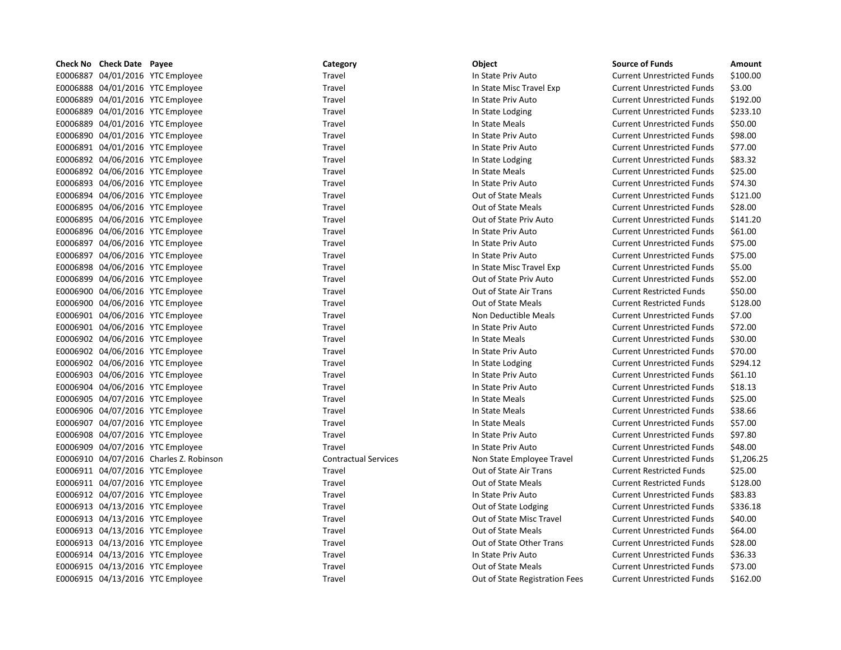| E0006887 04/01/2016 YTC Employee<br>\$100.00<br>Travel<br>In State Priv Auto<br><b>Current Unrestricted Funds</b><br>E0006888 04/01/2016 YTC Employee<br>\$3.00<br>Travel<br>In State Misc Travel Exp<br><b>Current Unrestricted Funds</b><br>E0006889 04/01/2016 YTC Employee<br>\$192.00<br>Travel<br>In State Priv Auto<br><b>Current Unrestricted Funds</b><br>E0006889 04/01/2016 YTC Employee<br>Travel<br>In State Lodging<br><b>Current Unrestricted Funds</b><br>\$233.10<br>E0006889 04/01/2016 YTC Employee<br>Travel<br>In State Meals<br>\$50.00<br><b>Current Unrestricted Funds</b><br>E0006890 04/01/2016 YTC Employee<br>In State Priv Auto<br>\$98.00<br>Travel<br><b>Current Unrestricted Funds</b><br>\$77.00<br>E0006891 04/01/2016 YTC Employee<br>Travel<br><b>Current Unrestricted Funds</b><br>In State Priv Auto |
|--------------------------------------------------------------------------------------------------------------------------------------------------------------------------------------------------------------------------------------------------------------------------------------------------------------------------------------------------------------------------------------------------------------------------------------------------------------------------------------------------------------------------------------------------------------------------------------------------------------------------------------------------------------------------------------------------------------------------------------------------------------------------------------------------------------------------------------------|
|                                                                                                                                                                                                                                                                                                                                                                                                                                                                                                                                                                                                                                                                                                                                                                                                                                            |
|                                                                                                                                                                                                                                                                                                                                                                                                                                                                                                                                                                                                                                                                                                                                                                                                                                            |
|                                                                                                                                                                                                                                                                                                                                                                                                                                                                                                                                                                                                                                                                                                                                                                                                                                            |
|                                                                                                                                                                                                                                                                                                                                                                                                                                                                                                                                                                                                                                                                                                                                                                                                                                            |
|                                                                                                                                                                                                                                                                                                                                                                                                                                                                                                                                                                                                                                                                                                                                                                                                                                            |
|                                                                                                                                                                                                                                                                                                                                                                                                                                                                                                                                                                                                                                                                                                                                                                                                                                            |
|                                                                                                                                                                                                                                                                                                                                                                                                                                                                                                                                                                                                                                                                                                                                                                                                                                            |
| E0006892 04/06/2016 YTC Employee<br>Travel<br>\$83.32<br>In State Lodging<br><b>Current Unrestricted Funds</b>                                                                                                                                                                                                                                                                                                                                                                                                                                                                                                                                                                                                                                                                                                                             |
| E0006892 04/06/2016 YTC Employee<br>\$25.00<br>Travel<br>In State Meals<br><b>Current Unrestricted Funds</b>                                                                                                                                                                                                                                                                                                                                                                                                                                                                                                                                                                                                                                                                                                                               |
| E0006893 04/06/2016 YTC Employee<br>\$74.30<br>Travel<br>In State Priv Auto<br><b>Current Unrestricted Funds</b>                                                                                                                                                                                                                                                                                                                                                                                                                                                                                                                                                                                                                                                                                                                           |
| E0006894 04/06/2016 YTC Employee<br>\$121.00<br>Travel<br>Out of State Meals<br><b>Current Unrestricted Funds</b>                                                                                                                                                                                                                                                                                                                                                                                                                                                                                                                                                                                                                                                                                                                          |
| E0006895 04/06/2016 YTC Employee<br>Out of State Meals<br>\$28.00<br>Travel<br><b>Current Unrestricted Funds</b>                                                                                                                                                                                                                                                                                                                                                                                                                                                                                                                                                                                                                                                                                                                           |
| E0006895 04/06/2016 YTC Employee<br>\$141.20<br>Travel<br>Out of State Priv Auto<br><b>Current Unrestricted Funds</b>                                                                                                                                                                                                                                                                                                                                                                                                                                                                                                                                                                                                                                                                                                                      |
| E0006896 04/06/2016 YTC Employee<br>Travel<br>In State Priv Auto<br><b>Current Unrestricted Funds</b><br>\$61.00                                                                                                                                                                                                                                                                                                                                                                                                                                                                                                                                                                                                                                                                                                                           |
| \$75.00<br>E0006897 04/06/2016 YTC Employee<br>Travel<br>In State Priv Auto<br><b>Current Unrestricted Funds</b>                                                                                                                                                                                                                                                                                                                                                                                                                                                                                                                                                                                                                                                                                                                           |
| E0006897 04/06/2016 YTC Employee<br>\$75.00<br>Travel<br>In State Priv Auto<br><b>Current Unrestricted Funds</b>                                                                                                                                                                                                                                                                                                                                                                                                                                                                                                                                                                                                                                                                                                                           |
| E0006898 04/06/2016 YTC Employee<br>Travel<br>\$5.00<br>In State Misc Travel Exp<br><b>Current Unrestricted Funds</b>                                                                                                                                                                                                                                                                                                                                                                                                                                                                                                                                                                                                                                                                                                                      |
| E0006899 04/06/2016 YTC Employee<br>Travel<br>Out of State Priv Auto<br>\$52.00<br><b>Current Unrestricted Funds</b>                                                                                                                                                                                                                                                                                                                                                                                                                                                                                                                                                                                                                                                                                                                       |
| E0006900 04/06/2016 YTC Employee<br>Travel<br>Out of State Air Trans<br>\$50.00<br><b>Current Restricted Funds</b>                                                                                                                                                                                                                                                                                                                                                                                                                                                                                                                                                                                                                                                                                                                         |
| E0006900 04/06/2016 YTC Employee<br>Out of State Meals<br>\$128.00<br>Travel<br><b>Current Restricted Funds</b>                                                                                                                                                                                                                                                                                                                                                                                                                                                                                                                                                                                                                                                                                                                            |
| E0006901 04/06/2016 YTC Employee<br>\$7.00<br>Travel<br>Non Deductible Meals<br><b>Current Unrestricted Funds</b>                                                                                                                                                                                                                                                                                                                                                                                                                                                                                                                                                                                                                                                                                                                          |
| E0006901 04/06/2016 YTC Employee<br>\$72.00<br>Travel<br>In State Priv Auto<br><b>Current Unrestricted Funds</b>                                                                                                                                                                                                                                                                                                                                                                                                                                                                                                                                                                                                                                                                                                                           |
| E0006902 04/06/2016 YTC Employee<br>\$30.00<br>Travel<br>In State Meals<br><b>Current Unrestricted Funds</b>                                                                                                                                                                                                                                                                                                                                                                                                                                                                                                                                                                                                                                                                                                                               |
| E0006902 04/06/2016 YTC Employee<br>Travel<br>In State Priv Auto<br><b>Current Unrestricted Funds</b><br>\$70.00                                                                                                                                                                                                                                                                                                                                                                                                                                                                                                                                                                                                                                                                                                                           |
| E0006902 04/06/2016 YTC Employee<br>Travel<br>\$294.12<br>In State Lodging<br><b>Current Unrestricted Funds</b>                                                                                                                                                                                                                                                                                                                                                                                                                                                                                                                                                                                                                                                                                                                            |
| E0006903 04/06/2016 YTC Employee<br>\$61.10<br>Travel<br>In State Priv Auto<br><b>Current Unrestricted Funds</b>                                                                                                                                                                                                                                                                                                                                                                                                                                                                                                                                                                                                                                                                                                                           |
| E0006904 04/06/2016 YTC Employee<br>Travel<br>In State Priv Auto<br><b>Current Unrestricted Funds</b><br>\$18.13                                                                                                                                                                                                                                                                                                                                                                                                                                                                                                                                                                                                                                                                                                                           |
| E0006905 04/07/2016 YTC Employee<br>Travel<br>\$25.00<br>In State Meals<br><b>Current Unrestricted Funds</b>                                                                                                                                                                                                                                                                                                                                                                                                                                                                                                                                                                                                                                                                                                                               |
| E0006906 04/07/2016 YTC Employee<br>Travel<br>In State Meals<br>\$38.66<br><b>Current Unrestricted Funds</b>                                                                                                                                                                                                                                                                                                                                                                                                                                                                                                                                                                                                                                                                                                                               |
| E0006907 04/07/2016 YTC Employee<br>\$57.00<br>Travel<br>In State Meals<br><b>Current Unrestricted Funds</b>                                                                                                                                                                                                                                                                                                                                                                                                                                                                                                                                                                                                                                                                                                                               |
| E0006908 04/07/2016 YTC Employee<br>\$97.80<br>Travel<br>In State Priv Auto<br><b>Current Unrestricted Funds</b>                                                                                                                                                                                                                                                                                                                                                                                                                                                                                                                                                                                                                                                                                                                           |
| E0006909 04/07/2016 YTC Employee<br>\$48.00<br>Travel<br>In State Priv Auto<br><b>Current Unrestricted Funds</b>                                                                                                                                                                                                                                                                                                                                                                                                                                                                                                                                                                                                                                                                                                                           |
| E0006910 04/07/2016 Charles Z. Robinson<br><b>Contractual Services</b><br>Non State Employee Travel<br><b>Current Unrestricted Funds</b><br>\$1,206.25                                                                                                                                                                                                                                                                                                                                                                                                                                                                                                                                                                                                                                                                                     |
| E0006911 04/07/2016 YTC Employee<br>Travel<br>Out of State Air Trans<br><b>Current Restricted Funds</b><br>\$25.00                                                                                                                                                                                                                                                                                                                                                                                                                                                                                                                                                                                                                                                                                                                         |
| E0006911 04/07/2016 YTC Employee<br>\$128.00<br>Travel<br>Out of State Meals<br><b>Current Restricted Funds</b>                                                                                                                                                                                                                                                                                                                                                                                                                                                                                                                                                                                                                                                                                                                            |
| \$83.83<br>E0006912 04/07/2016 YTC Employee<br>In State Priv Auto<br>Travel<br><b>Current Unrestricted Funds</b>                                                                                                                                                                                                                                                                                                                                                                                                                                                                                                                                                                                                                                                                                                                           |
| E0006913 04/13/2016 YTC Employee<br>\$336.18<br>Travel<br>Out of State Lodging<br><b>Current Unrestricted Funds</b>                                                                                                                                                                                                                                                                                                                                                                                                                                                                                                                                                                                                                                                                                                                        |
| E0006913 04/13/2016 YTC Employee<br>Travel<br>Out of State Misc Travel<br>\$40.00<br><b>Current Unrestricted Funds</b>                                                                                                                                                                                                                                                                                                                                                                                                                                                                                                                                                                                                                                                                                                                     |
| E0006913 04/13/2016 YTC Employee<br>Travel<br>Out of State Meals<br><b>Current Unrestricted Funds</b><br>\$64.00                                                                                                                                                                                                                                                                                                                                                                                                                                                                                                                                                                                                                                                                                                                           |
| Out of State Other Trans<br>\$28.00<br>E0006913 04/13/2016 YTC Employee<br>Travel<br><b>Current Unrestricted Funds</b>                                                                                                                                                                                                                                                                                                                                                                                                                                                                                                                                                                                                                                                                                                                     |
| E0006914 04/13/2016 YTC Employee<br>\$36.33<br>Travel<br>In State Priv Auto<br><b>Current Unrestricted Funds</b>                                                                                                                                                                                                                                                                                                                                                                                                                                                                                                                                                                                                                                                                                                                           |
| E0006915 04/13/2016 YTC Employee<br>Out of State Meals<br>\$73.00<br>Travel<br><b>Current Unrestricted Funds</b>                                                                                                                                                                                                                                                                                                                                                                                                                                                                                                                                                                                                                                                                                                                           |
| \$162.00<br>E0006915 04/13/2016 YTC Employee<br>Travel<br><b>Current Unrestricted Funds</b><br>Out of State Registration Fees                                                                                                                                                                                                                                                                                                                                                                                                                                                                                                                                                                                                                                                                                                              |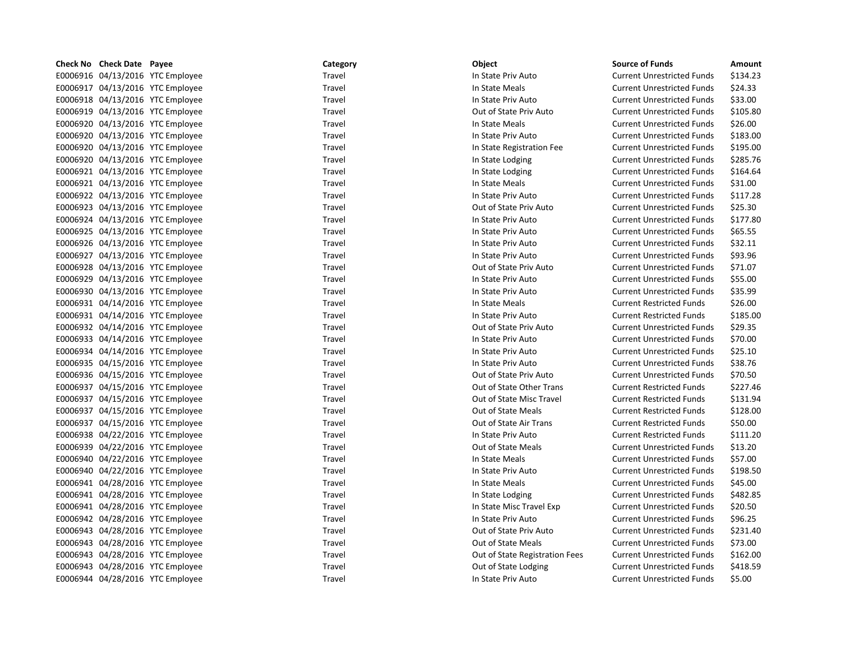| Check No Check Date Payee        | Category | Object                         | <b>Source of Funds</b>            | Amount   |
|----------------------------------|----------|--------------------------------|-----------------------------------|----------|
| E0006916 04/13/2016 YTC Employee | Travel   | In State Priv Auto             | <b>Current Unrestricted Funds</b> | \$134.23 |
| E0006917 04/13/2016 YTC Employee | Travel   | In State Meals                 | <b>Current Unrestricted Funds</b> | \$24.33  |
| E0006918 04/13/2016 YTC Employee | Travel   | In State Priv Auto             | <b>Current Unrestricted Funds</b> | \$33.00  |
| E0006919 04/13/2016 YTC Employee | Travel   | Out of State Priv Auto         | <b>Current Unrestricted Funds</b> | \$105.80 |
| E0006920 04/13/2016 YTC Employee | Travel   | In State Meals                 | <b>Current Unrestricted Funds</b> | \$26.00  |
| E0006920 04/13/2016 YTC Employee | Travel   | In State Priv Auto             | <b>Current Unrestricted Funds</b> | \$183.00 |
| E0006920 04/13/2016 YTC Employee | Travel   | In State Registration Fee      | <b>Current Unrestricted Funds</b> | \$195.00 |
| E0006920 04/13/2016 YTC Employee | Travel   | In State Lodging               | <b>Current Unrestricted Funds</b> | \$285.76 |
| E0006921 04/13/2016 YTC Employee | Travel   | In State Lodging               | <b>Current Unrestricted Funds</b> | \$164.64 |
| E0006921 04/13/2016 YTC Employee | Travel   | In State Meals                 | <b>Current Unrestricted Funds</b> | \$31.00  |
| E0006922 04/13/2016 YTC Employee | Travel   | In State Priv Auto             | <b>Current Unrestricted Funds</b> | \$117.28 |
| E0006923 04/13/2016 YTC Employee | Travel   | Out of State Priv Auto         | <b>Current Unrestricted Funds</b> | \$25.30  |
| E0006924 04/13/2016 YTC Employee | Travel   | In State Priv Auto             | <b>Current Unrestricted Funds</b> | \$177.80 |
| E0006925 04/13/2016 YTC Employee | Travel   | In State Priv Auto             | <b>Current Unrestricted Funds</b> | \$65.55  |
| E0006926 04/13/2016 YTC Employee | Travel   | In State Priv Auto             | <b>Current Unrestricted Funds</b> | \$32.11  |
| E0006927 04/13/2016 YTC Employee | Travel   | In State Priv Auto             | <b>Current Unrestricted Funds</b> | \$93.96  |
| E0006928 04/13/2016 YTC Employee | Travel   | Out of State Priv Auto         | <b>Current Unrestricted Funds</b> | \$71.07  |
| E0006929 04/13/2016 YTC Employee | Travel   | In State Priv Auto             | <b>Current Unrestricted Funds</b> | \$55.00  |
| E0006930 04/13/2016 YTC Employee | Travel   | In State Priv Auto             | <b>Current Unrestricted Funds</b> | \$35.99  |
| E0006931 04/14/2016 YTC Employee | Travel   | In State Meals                 | <b>Current Restricted Funds</b>   | \$26.00  |
| E0006931 04/14/2016 YTC Employee | Travel   | In State Priv Auto             | <b>Current Restricted Funds</b>   | \$185.00 |
| E0006932 04/14/2016 YTC Employee | Travel   | Out of State Priv Auto         | <b>Current Unrestricted Funds</b> | \$29.35  |
| E0006933 04/14/2016 YTC Employee | Travel   | In State Priv Auto             | <b>Current Unrestricted Funds</b> | \$70.00  |
| E0006934 04/14/2016 YTC Employee | Travel   | In State Priv Auto             | <b>Current Unrestricted Funds</b> | \$25.10  |
| E0006935 04/15/2016 YTC Employee | Travel   | In State Priv Auto             | <b>Current Unrestricted Funds</b> | \$38.76  |
| E0006936 04/15/2016 YTC Employee | Travel   | Out of State Priv Auto         | <b>Current Unrestricted Funds</b> | \$70.50  |
| E0006937 04/15/2016 YTC Employee | Travel   | Out of State Other Trans       | <b>Current Restricted Funds</b>   | \$227.46 |
| E0006937 04/15/2016 YTC Employee | Travel   | Out of State Misc Travel       | <b>Current Restricted Funds</b>   | \$131.94 |
| E0006937 04/15/2016 YTC Employee | Travel   | Out of State Meals             | <b>Current Restricted Funds</b>   | \$128.00 |
| E0006937 04/15/2016 YTC Employee | Travel   | Out of State Air Trans         | <b>Current Restricted Funds</b>   | \$50.00  |
| E0006938 04/22/2016 YTC Employee | Travel   | In State Priv Auto             | <b>Current Restricted Funds</b>   | \$111.20 |
| E0006939 04/22/2016 YTC Employee | Travel   | Out of State Meals             | <b>Current Unrestricted Funds</b> | \$13.20  |
| E0006940 04/22/2016 YTC Employee | Travel   | In State Meals                 | <b>Current Unrestricted Funds</b> | \$57.00  |
| E0006940 04/22/2016 YTC Employee | Travel   | In State Priv Auto             | <b>Current Unrestricted Funds</b> | \$198.50 |
| E0006941 04/28/2016 YTC Employee | Travel   | In State Meals                 | <b>Current Unrestricted Funds</b> | \$45.00  |
| E0006941 04/28/2016 YTC Employee | Travel   | In State Lodging               | <b>Current Unrestricted Funds</b> | \$482.85 |
| E0006941 04/28/2016 YTC Employee | Travel   | In State Misc Travel Exp       | <b>Current Unrestricted Funds</b> | \$20.50  |
| E0006942 04/28/2016 YTC Employee | Travel   | In State Priv Auto             | <b>Current Unrestricted Funds</b> | \$96.25  |
| E0006943 04/28/2016 YTC Employee | Travel   | Out of State Priv Auto         | <b>Current Unrestricted Funds</b> | \$231.40 |
| E0006943 04/28/2016 YTC Employee | Travel   | Out of State Meals             | <b>Current Unrestricted Funds</b> | \$73.00  |
| E0006943 04/28/2016 YTC Employee | Travel   | Out of State Registration Fees | <b>Current Unrestricted Funds</b> | \$162.00 |
| E0006943 04/28/2016 YTC Employee | Travel   | Out of State Lodging           | <b>Current Unrestricted Funds</b> | \$418.59 |
| E0006944 04/28/2016 YTC Employee | Travel   | In State Priv Auto             | <b>Current Unrestricted Funds</b> | \$5.00   |
|                                  |          |                                |                                   |          |